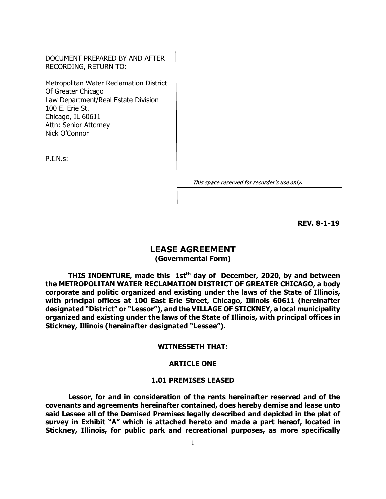DOCUMENT PREPARED BY AND AFTER RECORDING, RETURN TO:

Metropolitan Water Reclamation District Of Greater Chicago Law Department/Real Estate Division 100 E. Erie St. Chicago, IL 60611 Attn: Senior Attorney Nick O'Connor

P.I.N.s:

This space reserved for recorder's use only.

**REV. 8-1-19**

# **LEASE AGREEMENT**

**(Governmental Form)**

THIS INDENTURE, made this 1st<sup>th</sup> day of December, 2020, by and between **the METROPOLITAN WATER RECLAMATION DISTRICT OF GREATER CHICAGO, a body corporate and politic organized and existing under the laws of the State of Illinois, with principal offices at 100 East Erie Street, Chicago, Illinois 60611 (hereinafter designated "District" or "Lessor"), and the VILLAGE OF STICKNEY, a local municipality organized and existing under the laws of the State of Illinois, with principal offices in Stickney, Illinois (hereinafter designated "Lessee").**

### **WITNESSETH THAT:**

## **ARTICLE ONE**

#### **1.01 PREMISES LEASED**

**Lessor, for and in consideration of the rents hereinafter reserved and of the covenants and agreements hereinafter contained, does hereby demise and lease unto said Lessee all of the Demised Premises legally described and depicted in the plat of survey in Exhibit "A" which is attached hereto and made a part hereof, located in Stickney, Illinois, for public park and recreational purposes, as more specifically**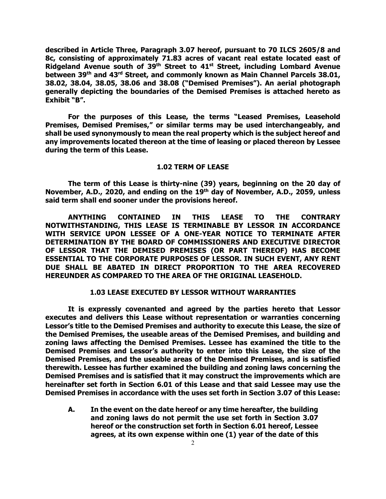**described in Article Three, Paragraph 3.07 hereof, pursuant to 70 ILCS 2605/8 and 8c, consisting of approximately 71.83 acres of vacant real estate located east of Ridgeland Avenue south of 39th Street to 41st Street, including Lombard Avenue between 39th and 43rd Street, and commonly known as Main Channel Parcels 38.01, 38.02, 38.04, 38.05, 38.06 and 38.08 ("Demised Premises"). An aerial photograph generally depicting the boundaries of the Demised Premises is attached hereto as Exhibit "B".**

**For the purposes of this Lease, the terms "Leased Premises, Leasehold Premises, Demised Premises," or similar terms may be used interchangeably, and shall be used synonymously to mean the real property which is the subject hereof and any improvements located thereon at the time of leasing or placed thereon by Lessee during the term of this Lease.**

## **1.02 TERM OF LEASE**

**The term of this Lease is thirty-nine (39) years, beginning on the 20 day of November, A.D., 2020, and ending on the 19th day of November, A.D., 2059, unless said term shall end sooner under the provisions hereof.**

**ANYTHING CONTAINED IN THIS LEASE TO THE CONTRARY NOTWITHSTANDING, THIS LEASE IS TERMINABLE BY LESSOR IN ACCORDANCE WITH SERVICE UPON LESSEE OF A ONE-YEAR NOTICE TO TERMINATE AFTER DETERMINATION BY THE BOARD OF COMMISSIONERS AND EXECUTIVE DIRECTOR OF LESSOR THAT THE DEMISED PREMISES (OR PART THEREOF) HAS BECOME ESSENTIAL TO THE CORPORATE PURPOSES OF LESSOR. IN SUCH EVENT, ANY RENT DUE SHALL BE ABATED IN DIRECT PROPORTION TO THE AREA RECOVERED HEREUNDER AS COMPARED TO THE AREA OF THE ORIGINAL LEASEHOLD.**

# **1.03 LEASE EXECUTED BY LESSOR WITHOUT WARRANTIES**

**It is expressly covenanted and agreed by the parties hereto that Lessor executes and delivers this Lease without representation or warranties concerning Lessor's title to the Demised Premises and authority to execute this Lease, the size of the Demised Premises, the useable areas of the Demised Premises, and building and zoning laws affecting the Demised Premises. Lessee has examined the title to the Demised Premises and Lessor's authority to enter into this Lease, the size of the Demised Premises, and the useable areas of the Demised Premises, and is satisfied therewith. Lessee has further examined the building and zoning laws concerning the Demised Premises and is satisfied that it may construct the improvements which are hereinafter set forth in Section 6.01 of this Lease and that said Lessee may use the Demised Premises in accordance with the uses set forth in Section 3.07 of this Lease:**

**A. In the event on the date hereof or any time hereafter, the building and zoning laws do not permit the use set forth in Section 3.07 hereof or the construction set forth in Section 6.01 hereof, Lessee agrees, at its own expense within one (1) year of the date of this**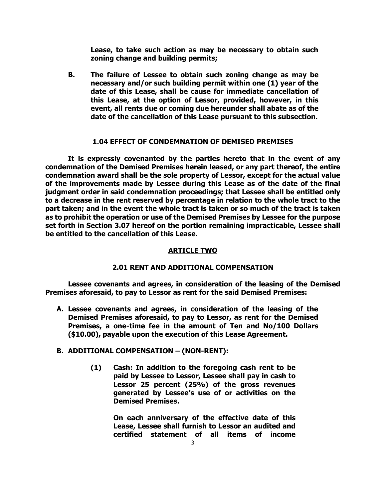**Lease, to take such action as may be necessary to obtain such zoning change and building permits;**

**B. The failure of Lessee to obtain such zoning change as may be necessary and/or such building permit within one (1) year of the date of this Lease, shall be cause for immediate cancellation of this Lease, at the option of Lessor, provided, however, in this event, all rents due or coming due hereunder shall abate as of the date of the cancellation of this Lease pursuant to this subsection.**

# **1.04 EFFECT OF CONDEMNATION OF DEMISED PREMISES**

**It is expressly covenanted by the parties hereto that in the event of any condemnation of the Demised Premises herein leased, or any part thereof, the entire condemnation award shall be the sole property of Lessor, except for the actual value of the improvements made by Lessee during this Lease as of the date of the final judgment order in said condemnation proceedings; that Lessee shall be entitled only to a decrease in the rent reserved by percentage in relation to the whole tract to the part taken; and in the event the whole tract is taken or so much of the tract is taken as to prohibit the operation or use of the Demised Premises by Lessee for the purpose set forth in Section 3.07 hereof on the portion remaining impracticable, Lessee shall be entitled to the cancellation of this Lease.**

# **ARTICLE TWO**

# **2.01 RENT AND ADDITIONAL COMPENSATION**

**Lessee covenants and agrees, in consideration of the leasing of the Demised Premises aforesaid, to pay to Lessor as rent for the said Demised Premises:**

**A. Lessee covenants and agrees, in consideration of the leasing of the Demised Premises aforesaid, to pay to Lessor, as rent for the Demised Premises, a one-time fee in the amount of Ten and No/100 Dollars (\$10.00), payable upon the execution of this Lease Agreement.**

# **B. ADDITIONAL COMPENSATION – (NON-RENT):**

**(1) Cash: In addition to the foregoing cash rent to be paid by Lessee to Lessor, Lessee shall pay in cash to Lessor 25 percent (25%) of the gross revenues generated by Lessee's use of or activities on the Demised Premises.**

> **On each anniversary of the effective date of this Lease, Lessee shall furnish to Lessor an audited and certified statement of all items of income**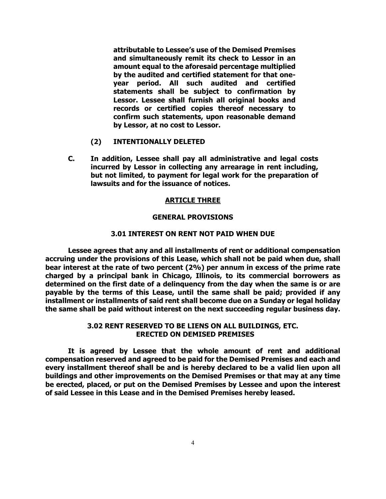**attributable to Lessee's use of the Demised Premises and simultaneously remit its check to Lessor in an amount equal to the aforesaid percentage multiplied by the audited and certified statement for that oneyear period. All such audited and certified statements shall be subject to confirmation by Lessor. Lessee shall furnish all original books and records or certified copies thereof necessary to confirm such statements, upon reasonable demand by Lessor, at no cost to Lessor.** 

- **(2) INTENTIONALLY DELETED**
- **C. In addition, Lessee shall pay all administrative and legal costs incurred by Lessor in collecting any arrearage in rent including, but not limited, to payment for legal work for the preparation of lawsuits and for the issuance of notices.**

### **ARTICLE THREE**

## **GENERAL PROVISIONS**

# **3.01 INTEREST ON RENT NOT PAID WHEN DUE**

**Lessee agrees that any and all installments of rent or additional compensation accruing under the provisions of this Lease, which shall not be paid when due, shall bear interest at the rate of two percent (2%) per annum in excess of the prime rate charged by a principal bank in Chicago, Illinois, to its commercial borrowers as determined on the first date of a delinquency from the day when the same is or are payable by the terms of this Lease, until the same shall be paid; provided if any installment or installments of said rent shall become due on a Sunday or legal holiday the same shall be paid without interest on the next succeeding regular business day.**

# **3.02 RENT RESERVED TO BE LIENS ON ALL BUILDINGS, ETC. ERECTED ON DEMISED PREMISES**

**It is agreed by Lessee that the whole amount of rent and additional compensation reserved and agreed to be paid for the Demised Premises and each and every installment thereof shall be and is hereby declared to be a valid lien upon all buildings and other improvements on the Demised Premises or that may at any time be erected, placed, or put on the Demised Premises by Lessee and upon the interest of said Lessee in this Lease and in the Demised Premises hereby leased.**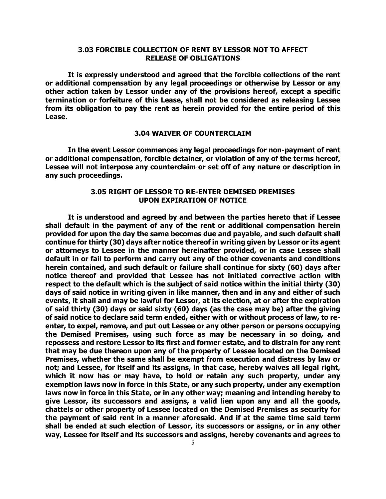# **3.03 FORCIBLE COLLECTION OF RENT BY LESSOR NOT TO AFFECT RELEASE OF OBLIGATIONS**

**It is expressly understood and agreed that the forcible collections of the rent or additional compensation by any legal proceedings or otherwise by Lessor or any other action taken by Lessor under any of the provisions hereof, except a specific termination or forfeiture of this Lease, shall not be considered as releasing Lessee from its obligation to pay the rent as herein provided for the entire period of this Lease.**

## **3.04 WAIVER OF COUNTERCLAIM**

**In the event Lessor commences any legal proceedings for non-payment of rent or additional compensation, forcible detainer, or violation of any of the terms hereof, Lessee will not interpose any counterclaim or set off of any nature or description in any such proceedings.**

# **3.05 RIGHT OF LESSOR TO RE-ENTER DEMISED PREMISES UPON EXPIRATION OF NOTICE**

**It is understood and agreed by and between the parties hereto that if Lessee shall default in the payment of any of the rent or additional compensation herein provided for upon the day the same becomes due and payable, and such default shall continue for thirty (30) days after notice thereof in writing given by Lessor or its agent or attorneys to Lessee in the manner hereinafter provided, or in case Lessee shall default in or fail to perform and carry out any of the other covenants and conditions herein contained, and such default or failure shall continue for sixty (60) days after notice thereof and provided that Lessee has not initiated corrective action with respect to the default which is the subject of said notice within the initial thirty (30) days of said notice in writing given in like manner, then and in any and either of such events, it shall and may be lawful for Lessor, at its election, at or after the expiration of said thirty (30) days or said sixty (60) days (as the case may be) after the giving of said notice to declare said term ended, either with or without process of law, to reenter, to expel, remove, and put out Lessee or any other person or persons occupying the Demised Premises, using such force as may be necessary in so doing, and repossess and restore Lessor to its first and former estate, and to distrain for any rent that may be due thereon upon any of the property of Lessee located on the Demised Premises, whether the same shall be exempt from execution and distress by law or not; and Lessee, for itself and its assigns, in that case, hereby waives all legal right, which it now has or may have, to hold or retain any such property, under any exemption laws now in force in this State, or any such property, under any exemption laws now in force in this State, or in any other way; meaning and intending hereby to give Lessor, its successors and assigns, a valid lien upon any and all the goods, chattels or other property of Lessee located on the Demised Premises as security for the payment of said rent in a manner aforesaid. And if at the same time said term shall be ended at such election of Lessor, its successors or assigns, or in any other way, Lessee for itself and its successors and assigns, hereby covenants and agrees to**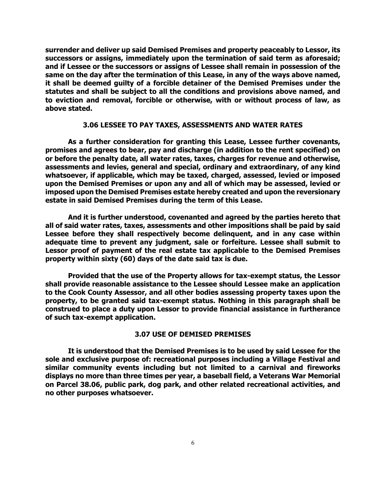**surrender and deliver up said Demised Premises and property peaceably to Lessor, its successors or assigns, immediately upon the termination of said term as aforesaid; and if Lessee or the successors or assigns of Lessee shall remain in possession of the same on the day after the termination of this Lease, in any of the ways above named, it shall be deemed guilty of a forcible detainer of the Demised Premises under the statutes and shall be subject to all the conditions and provisions above named, and to eviction and removal, forcible or otherwise, with or without process of law, as above stated.**

# **3.06 LESSEE TO PAY TAXES, ASSESSMENTS AND WATER RATES**

**As a further consideration for granting this Lease, Lessee further covenants, promises and agrees to bear, pay and discharge (in addition to the rent specified) on or before the penalty date, all water rates, taxes, charges for revenue and otherwise, assessments and levies, general and special, ordinary and extraordinary, of any kind whatsoever, if applicable, which may be taxed, charged, assessed, levied or imposed upon the Demised Premises or upon any and all of which may be assessed, levied or imposed upon the Demised Premises estate hereby created and upon the reversionary estate in said Demised Premises during the term of this Lease.**

**And it is further understood, covenanted and agreed by the parties hereto that all of said water rates, taxes, assessments and other impositions shall be paid by said Lessee before they shall respectively become delinquent, and in any case within adequate time to prevent any judgment, sale or forfeiture. Lessee shall submit to Lessor proof of payment of the real estate tax applicable to the Demised Premises property within sixty (60) days of the date said tax is due.**

**Provided that the use of the Property allows for tax-exempt status, the Lessor shall provide reasonable assistance to the Lessee should Lessee make an application to the Cook County Assessor, and all other bodies assessing property taxes upon the property, to be granted said tax-exempt status. Nothing in this paragraph shall be construed to place a duty upon Lessor to provide financial assistance in furtherance of such tax-exempt application.** 

## **3.07 USE OF DEMISED PREMISES**

**It is understood that the Demised Premises is to be used by said Lessee for the sole and exclusive purpose of: recreational purposes including a Village Festival and similar community events including but not limited to a carnival and fireworks displays no more than three times per year, a baseball field, a Veterans War Memorial on Parcel 38.06, public park, dog park, and other related recreational activities, and no other purposes whatsoever.**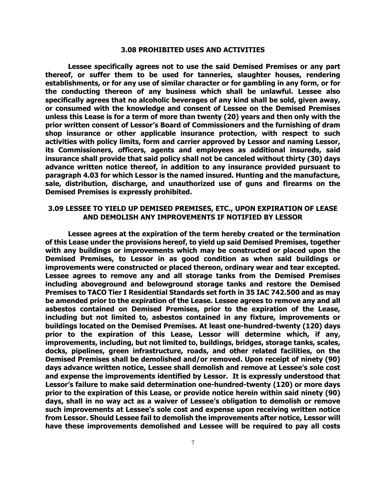## **3.08 PROHIBITED USES AND ACTIVITIES**

**Lessee specifically agrees not to use the said Demised Premises or any part thereof, or suffer them to be used for tanneries, slaughter houses, rendering establishments, or for any use of similar character or for gambling in any form, or for the conducting thereon of any business which shall be unlawful. Lessee also specifically agrees that no alcoholic beverages of any kind shall be sold, given away, or consumed with the knowledge and consent of Lessee on the Demised Premises unless this Lease is for a term of more than twenty (20) years and then only with the prior written consent of Lessor's Board of Commissioners and the furnishing of dram shop insurance or other applicable insurance protection, with respect to such activities with policy limits, form and carrier approved by Lessor and naming Lessor, its Commissioners, officers, agents and employees as additional insureds, said insurance shall provide that said policy shall not be canceled without thirty (30) days advance written notice thereof, in addition to any insurance provided pursuant to paragraph 4.03 for which Lessor is the named insured. Hunting and the manufacture, sale, distribution, discharge, and unauthorized use of guns and firearms on the Demised Premises is expressly prohibited.**

# **3.09 LESSEE TO YIELD UP DEMISED PREMISES, ETC., UPON EXPIRATION OF LEASE AND DEMOLISH ANY IMPROVEMENTS IF NOTIFIED BY LESSOR**

**Lessee agrees at the expiration of the term hereby created or the termination of this Lease under the provisions hereof, to yield up said Demised Premises, together with any buildings or improvements which may be constructed or placed upon the Demised Premises, to Lessor in as good condition as when said buildings or improvements were constructed or placed thereon, ordinary wear and tear excepted. Lessee agrees to remove any and all storage tanks from the Demised Premises including aboveground and belowground storage tanks and restore the Demised Premises to TACO Tier I Residential Standards set forth in 35 IAC 742.500 and as may be amended prior to the expiration of the Lease. Lessee agrees to remove any and all asbestos contained on Demised Premises, prior to the expiration of the Lease, including but not limited to, asbestos contained in any fixture, improvements or buildings located on the Demised Premises. At least one-hundred-twenty (120) days prior to the expiration of this Lease, Lessor will determine which, if any, improvements, including, but not limited to, buildings, bridges, storage tanks, scales, docks, pipelines, green infrastructure, roads, and other related facilities, on the Demised Premises shall be demolished and/or removed. Upon receipt of ninety (90) days advance written notice, Lessee shall demolish and remove at Lessee's sole cost and expense the improvements identified by Lessor. It is expressly understood that Lessor's failure to make said determination one-hundred-twenty (120) or more days prior to the expiration of this Lease, or provide notice herein within said ninety (90) days, shall in no way act as a waiver of Lessee's obligation to demolish or remove such improvements at Lessee's sole cost and expense upon receiving written notice from Lessor. Should Lessee fail to demolish the improvements after notice, Lessor will have these improvements demolished and Lessee will be required to pay all costs**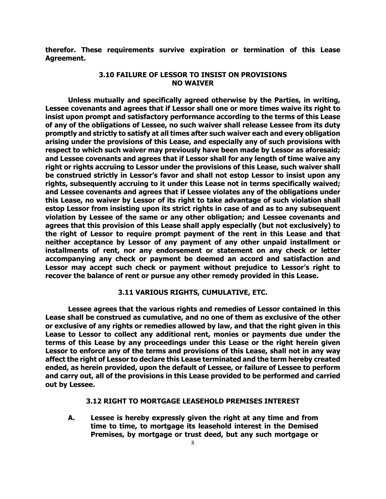**therefor. These requirements survive expiration or termination of this Lease Agreement.**

# **3.10 FAILURE OF LESSOR TO INSIST ON PROVISIONS NO WAIVER**

**Unless mutually and specifically agreed otherwise by the Parties, in writing, Lessee covenants and agrees that if Lessor shall one or more times waive its right to insist upon prompt and satisfactory performance according to the terms of this Lease of any of the obligations of Lessee, no such waiver shall release Lessee from its duty promptly and strictly to satisfy at all times after such waiver each and every obligation arising under the provisions of this Lease, and especially any of such provisions with respect to which such waiver may previously have been made by Lessor as aforesaid; and Lessee covenants and agrees that if Lessor shall for any length of time waive any right or rights accruing to Lessor under the provisions of this Lease, such waiver shall be construed strictly in Lessor's favor and shall not estop Lessor to insist upon any rights, subsequently accruing to it under this Lease not in terms specifically waived; and Lessee covenants and agrees that if Lessee violates any of the obligations under this Lease, no waiver by Lessor of its right to take advantage of such violation shall estop Lessor from insisting upon its strict rights in case of and as to any subsequent violation by Lessee of the same or any other obligation; and Lessee covenants and agrees that this provision of this Lease shall apply especially (but not exclusively) to the right of Lessor to require prompt payment of the rent in this Lease and that neither acceptance by Lessor of any payment of any other unpaid installment or installments of rent, nor any endorsement or statement on any check or letter accompanying any check or payment be deemed an accord and satisfaction and Lessor may accept such check or payment without prejudice to Lessor's right to recover the balance of rent or pursue any other remedy provided in this Lease.**

# **3.11 VARIOUS RIGHTS, CUMULATIVE, ETC.**

**Lessee agrees that the various rights and remedies of Lessor contained in this Lease shall be construed as cumulative, and no one of them as exclusive of the other or exclusive of any rights or remedies allowed by law, and that the right given in this Lease to Lessor to collect any additional rent, monies or payments due under the terms of this Lease by any proceedings under this Lease or the right herein given Lessor to enforce any of the terms and provisions of this Lease, shall not in any way affect the right of Lessor to declare this Lease terminated and the term hereby created ended, as herein provided, upon the default of Lessee, or failure of Lessee to perform and carry out, all of the provisions in this Lease provided to be performed and carried out by Lessee.**

## **3.12 RIGHT TO MORTGAGE LEASEHOLD PREMISES INTEREST**

**A. Lessee is hereby expressly given the right at any time and from time to time, to mortgage its leasehold interest in the Demised Premises, by mortgage or trust deed, but any such mortgage or**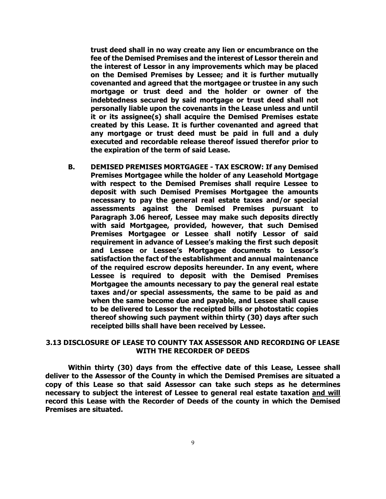**trust deed shall in no way create any lien or encumbrance on the fee of the Demised Premises and the interest of Lessor therein and the interest of Lessor in any improvements which may be placed on the Demised Premises by Lessee; and it is further mutually covenanted and agreed that the mortgagee or trustee in any such mortgage or trust deed and the holder or owner of the indebtedness secured by said mortgage or trust deed shall not personally liable upon the covenants in the Lease unless and until it or its assignee(s) shall acquire the Demised Premises estate created by this Lease. It is further covenanted and agreed that any mortgage or trust deed must be paid in full and a duly executed and recordable release thereof issued therefor prior to the expiration of the term of said Lease.**

**B. DEMISED PREMISES MORTGAGEE - TAX ESCROW: If any Demised Premises Mortgagee while the holder of any Leasehold Mortgage with respect to the Demised Premises shall require Lessee to deposit with such Demised Premises Mortgagee the amounts necessary to pay the general real estate taxes and/or special assessments against the Demised Premises pursuant to Paragraph 3.06 hereof, Lessee may make such deposits directly with said Mortgagee, provided, however, that such Demised Premises Mortgagee or Lessee shall notify Lessor of said requirement in advance of Lessee's making the first such deposit and Lessee or Lessee's Mortgagee documents to Lessor's satisfaction the fact of the establishment and annual maintenance of the required escrow deposits hereunder. In any event, where Lessee is required to deposit with the Demised Premises Mortgagee the amounts necessary to pay the general real estate taxes and/or special assessments, the same to be paid as and when the same become due and payable, and Lessee shall cause to be delivered to Lessor the receipted bills or photostatic copies thereof showing such payment within thirty (30) days after such receipted bills shall have been received by Lessee.**

# **3.13 DISCLOSURE OF LEASE TO COUNTY TAX ASSESSOR AND RECORDING OF LEASE WITH THE RECORDER OF DEEDS**

**Within thirty (30) days from the effective date of this Lease, Lessee shall deliver to the Assessor of the County in which the Demised Premises are situated a copy of this Lease so that said Assessor can take such steps as he determines necessary to subject the interest of Lessee to general real estate taxation and will record this Lease with the Recorder of Deeds of the county in which the Demised Premises are situated.**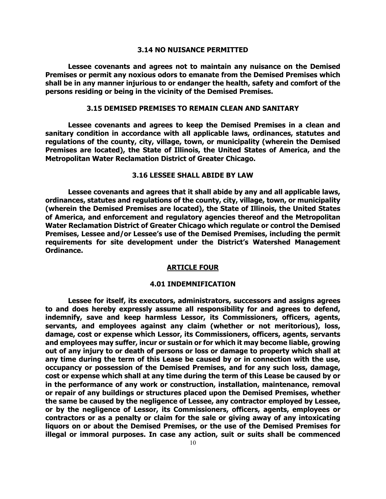### **3.14 NO NUISANCE PERMITTED**

**Lessee covenants and agrees not to maintain any nuisance on the Demised Premises or permit any noxious odors to emanate from the Demised Premises which shall be in any manner injurious to or endanger the health, safety and comfort of the persons residing or being in the vicinity of the Demised Premises.**

## **3.15 DEMISED PREMISES TO REMAIN CLEAN AND SANITARY**

**Lessee covenants and agrees to keep the Demised Premises in a clean and sanitary condition in accordance with all applicable laws, ordinances, statutes and regulations of the county, city, village, town, or municipality (wherein the Demised Premises are located), the State of Illinois, the United States of America, and the Metropolitan Water Reclamation District of Greater Chicago.**

## **3.16 LESSEE SHALL ABIDE BY LAW**

**Lessee covenants and agrees that it shall abide by any and all applicable laws, ordinances, statutes and regulations of the county, city, village, town, or municipality (wherein the Demised Premises are located), the State of Illinois, the United States of America, and enforcement and regulatory agencies thereof and the Metropolitan Water Reclamation District of Greater Chicago which regulate or control the Demised Premises, Lessee and/or Lessee's use of the Demised Premises, including the permit requirements for site development under the District's Watershed Management Ordinance.**

#### **ARTICLE FOUR**

### **4.01 INDEMNIFICATION**

**Lessee for itself, its executors, administrators, successors and assigns agrees to and does hereby expressly assume all responsibility for and agrees to defend, indemnify, save and keep harmless Lessor, its Commissioners, officers, agents, servants, and employees against any claim (whether or not meritorious), loss, damage, cost or expense which Lessor, its Commissioners, officers, agents, servants and employees may suffer, incur or sustain or for which it may become liable, growing out of any injury to or death of persons or loss or damage to property which shall at any time during the term of this Lease be caused by or in connection with the use, occupancy or possession of the Demised Premises, and for any such loss, damage, cost or expense which shall at any time during the term of this Lease be caused by or in the performance of any work or construction, installation, maintenance, removal or repair of any buildings or structures placed upon the Demised Premises, whether the same be caused by the negligence of Lessee, any contractor employed by Lessee, or by the negligence of Lessor, its Commissioners, officers, agents, employees or contractors or as a penalty or claim for the sale or giving away of any intoxicating liquors on or about the Demised Premises, or the use of the Demised Premises for illegal or immoral purposes. In case any action, suit or suits shall be commenced**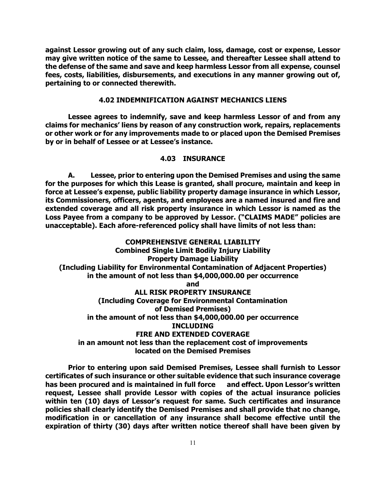**against Lessor growing out of any such claim, loss, damage, cost or expense, Lessor may give written notice of the same to Lessee, and thereafter Lessee shall attend to the defense of the same and save and keep harmless Lessor from all expense, counsel fees, costs, liabilities, disbursements, and executions in any manner growing out of, pertaining to or connected therewith.**

## **4.02 INDEMNIFICATION AGAINST MECHANICS LIENS**

**Lessee agrees to indemnify, save and keep harmless Lessor of and from any claims for mechanics' liens by reason of any construction work, repairs, replacements or other work or for any improvements made to or placed upon the Demised Premises by or in behalf of Lessee or at Lessee's instance.**

## **4.03 INSURANCE**

**A. Lessee, prior to entering upon the Demised Premises and using the same for the purposes for which this Lease is granted, shall procure, maintain and keep in force at Lessee's expense, public liability property damage insurance in which Lessor, its Commissioners, officers, agents, and employees are a named insured and fire and extended coverage and all risk property insurance in which Lessor is named as the Loss Payee from a company to be approved by Lessor. ("CLAIMS MADE" policies are unacceptable). Each afore-referenced policy shall have limits of not less than:**

**COMPREHENSIVE GENERAL LIABILITY Combined Single Limit Bodily Injury Liability Property Damage Liability (Including Liability for Environmental Contamination of Adjacent Properties) in the amount of not less than \$4,000,000.00 per occurrence and ALL RISK PROPERTY INSURANCE (Including Coverage for Environmental Contamination of Demised Premises) in the amount of not less than \$4,000,000.00 per occurrence INCLUDING FIRE AND EXTENDED COVERAGE in an amount not less than the replacement cost of improvements located on the Demised Premises**

**Prior to entering upon said Demised Premises, Lessee shall furnish to Lessor certificates of such insurance or other suitable evidence that such insurance coverage has been procured and is maintained in full force and effect. Upon Lessor's written request, Lessee shall provide Lessor with copies of the actual insurance policies within ten (10) days of Lessor's request for same. Such certificates and insurance policies shall clearly identify the Demised Premises and shall provide that no change, modification in or cancellation of any insurance shall become effective until the expiration of thirty (30) days after written notice thereof shall have been given by**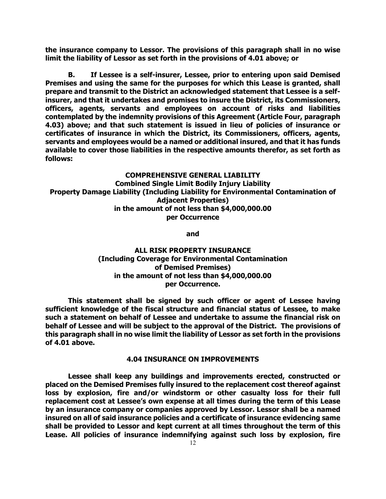**the insurance company to Lessor. The provisions of this paragraph shall in no wise limit the liability of Lessor as set forth in the provisions of 4.01 above; or**

**B. If Lessee is a self-insurer, Lessee, prior to entering upon said Demised Premises and using the same for the purposes for which this Lease is granted, shall prepare and transmit to the District an acknowledged statement that Lessee is a selfinsurer, and that it undertakes and promises to insure the District, its Commissioners, officers, agents, servants and employees on account of risks and liabilities contemplated by the indemnity provisions of this Agreement (Article Four, paragraph 4.03) above; and that such statement is issued in lieu of policies of insurance or certificates of insurance in which the District, its Commissioners, officers, agents, servants and employees would be a named or additional insured, and that it has funds available to cover those liabilities in the respective amounts therefor, as set forth as follows:**

**COMPREHENSIVE GENERAL LIABILITY Combined Single Limit Bodily Injury Liability Property Damage Liability (Including Liability for Environmental Contamination of Adjacent Properties) in the amount of not less than \$4,000,000.00 per Occurrence**

**and**

# **ALL RISK PROPERTY INSURANCE (Including Coverage for Environmental Contamination of Demised Premises) in the amount of not less than \$4,000,000.00 per Occurrence.**

**This statement shall be signed by such officer or agent of Lessee having sufficient knowledge of the fiscal structure and financial status of Lessee, to make such a statement on behalf of Lessee and undertake to assume the financial risk on behalf of Lessee and will be subject to the approval of the District. The provisions of this paragraph shall in no wise limit the liability of Lessor as set forth in the provisions of 4.01 above.**

## **4.04 INSURANCE ON IMPROVEMENTS**

**Lessee shall keep any buildings and improvements erected, constructed or placed on the Demised Premises fully insured to the replacement cost thereof against loss by explosion, fire and/or windstorm or other casualty loss for their full replacement cost at Lessee's own expense at all times during the term of this Lease by an insurance company or companies approved by Lessor. Lessor shall be a named insured on all of said insurance policies and a certificate of insurance evidencing same shall be provided to Lessor and kept current at all times throughout the term of this Lease. All policies of insurance indemnifying against such loss by explosion, fire**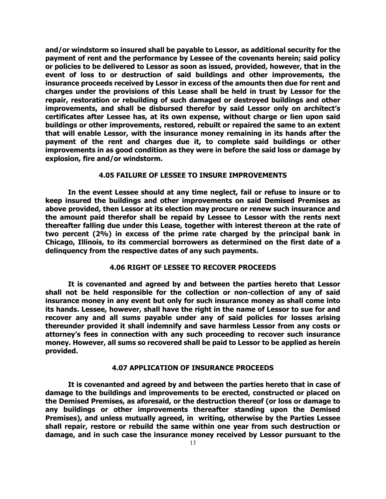**and/or windstorm so insured shall be payable to Lessor, as additional security for the payment of rent and the performance by Lessee of the covenants herein; said policy or policies to be delivered to Lessor as soon as issued, provided, however, that in the event of loss to or destruction of said buildings and other improvements, the insurance proceeds received by Lessor in excess of the amounts then due for rent and charges under the provisions of this Lease shall be held in trust by Lessor for the repair, restoration or rebuilding of such damaged or destroyed buildings and other improvements, and shall be disbursed therefor by said Lessor only on architect's certificates after Lessee has, at its own expense, without charge or lien upon said buildings or other improvements, restored, rebuilt or repaired the same to an extent that will enable Lessor, with the insurance money remaining in its hands after the payment of the rent and charges due it, to complete said buildings or other improvements in as good condition as they were in before the said loss or damage by explosion, fire and/or windstorm.**

## **4.05 FAILURE OF LESSEE TO INSURE IMPROVEMENTS**

**In the event Lessee should at any time neglect, fail or refuse to insure or to keep insured the buildings and other improvements on said Demised Premises as above provided, then Lessor at its election may procure or renew such insurance and the amount paid therefor shall be repaid by Lessee to Lessor with the rents next thereafter falling due under this Lease, together with interest thereon at the rate of two percent (2%) in excess of the prime rate charged by the principal bank in Chicago, Illinois, to its commercial borrowers as determined on the first date of a delinquency from the respective dates of any such payments.**

## **4.06 RIGHT OF LESSEE TO RECOVER PROCEEDS**

**It is covenanted and agreed by and between the parties hereto that Lessor shall not be held responsible for the collection or non-collection of any of said insurance money in any event but only for such insurance money as shall come into its hands. Lessee, however, shall have the right in the name of Lessor to sue for and recover any and all sums payable under any of said policies for losses arising thereunder provided it shall indemnify and save harmless Lessor from any costs or attorney's fees in connection with any such proceeding to recover such insurance money. However, all sums so recovered shall be paid to Lessor to be applied as herein provided.**

# **4.07 APPLICATION OF INSURANCE PROCEEDS**

**It is covenanted and agreed by and between the parties hereto that in case of damage to the buildings and improvements to be erected, constructed or placed on the Demised Premises, as aforesaid, or the destruction thereof (or loss or damage to any buildings or other improvements thereafter standing upon the Demised Premises), and unless mutually agreed, in writing, otherwise by the Parties Lessee shall repair, restore or rebuild the same within one year from such destruction or damage, and in such case the insurance money received by Lessor pursuant to the**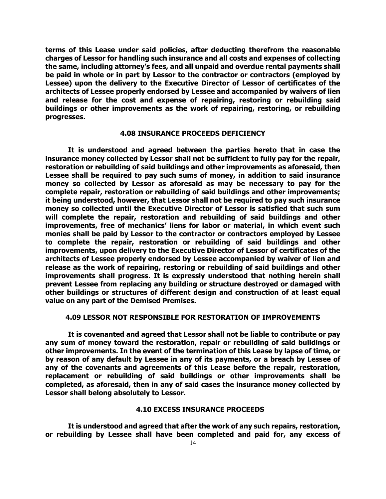**terms of this Lease under said policies, after deducting therefrom the reasonable charges of Lessor for handling such insurance and all costs and expenses of collecting the same, including attorney's fees, and all unpaid and overdue rental payments shall be paid in whole or in part by Lessor to the contractor or contractors (employed by Lessee) upon the delivery to the Executive Director of Lessor of certificates of the architects of Lessee properly endorsed by Lessee and accompanied by waivers of lien and release for the cost and expense of repairing, restoring or rebuilding said buildings or other improvements as the work of repairing, restoring, or rebuilding progresses.**

## **4.08 INSURANCE PROCEEDS DEFICIENCY**

**It is understood and agreed between the parties hereto that in case the insurance money collected by Lessor shall not be sufficient to fully pay for the repair, restoration or rebuilding of said buildings and other improvements as aforesaid, then Lessee shall be required to pay such sums of money, in addition to said insurance money so collected by Lessor as aforesaid as may be necessary to pay for the complete repair, restoration or rebuilding of said buildings and other improvements; it being understood, however, that Lessor shall not be required to pay such insurance money so collected until the Executive Director of Lessor is satisfied that such sum will complete the repair, restoration and rebuilding of said buildings and other improvements, free of mechanics' liens for labor or material, in which event such monies shall be paid by Lessor to the contractor or contractors employed by Lessee to complete the repair, restoration or rebuilding of said buildings and other improvements, upon delivery to the Executive Director of Lessor of certificates of the architects of Lessee properly endorsed by Lessee accompanied by waiver of lien and release as the work of repairing, restoring or rebuilding of said buildings and other improvements shall progress. It is expressly understood that nothing herein shall prevent Lessee from replacing any building or structure destroyed or damaged with other buildings or structures of different design and construction of at least equal value on any part of the Demised Premises.**

# **4.09 LESSOR NOT RESPONSIBLE FOR RESTORATION OF IMPROVEMENTS**

**It is covenanted and agreed that Lessor shall not be liable to contribute or pay any sum of money toward the restoration, repair or rebuilding of said buildings or other improvements. In the event of the termination of this Lease by lapse of time, or by reason of any default by Lessee in any of its payments, or a breach by Lessee of any of the covenants and agreements of this Lease before the repair, restoration, replacement or rebuilding of said buildings or other improvements shall be completed, as aforesaid, then in any of said cases the insurance money collected by Lessor shall belong absolutely to Lessor.**

# **4.10 EXCESS INSURANCE PROCEEDS**

**It is understood and agreed that after the work of any such repairs, restoration, or rebuilding by Lessee shall have been completed and paid for, any excess of**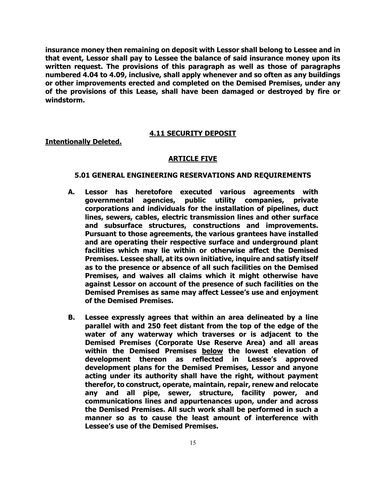**insurance money then remaining on deposit with Lessor shall belong to Lessee and in that event, Lessor shall pay to Lessee the balance of said insurance money upon its written request. The provisions of this paragraph as well as those of paragraphs numbered 4.04 to 4.09, inclusive, shall apply whenever and so often as any buildings or other improvements erected and completed on the Demised Premises, under any of the provisions of this Lease, shall have been damaged or destroyed by fire or windstorm.**

# **4.11 SECURITY DEPOSIT**

## **Intentionally Deleted.**

# **ARTICLE FIVE**

### **5.01 GENERAL ENGINEERING RESERVATIONS AND REQUIREMENTS**

- **A. Lessor has heretofore executed various agreements with governmental agencies, public utility companies, private corporations and individuals for the installation of pipelines, duct lines, sewers, cables, electric transmission lines and other surface and subsurface structures, constructions and improvements. Pursuant to those agreements, the various grantees have installed and are operating their respective surface and underground plant facilities which may lie within or otherwise affect the Demised Premises. Lessee shall, at its own initiative, inquire and satisfy itself as to the presence or absence of all such facilities on the Demised Premises, and waives all claims which it might otherwise have against Lessor on account of the presence of such facilities on the Demised Premises as same may affect Lessee's use and enjoyment of the Demised Premises.**
- **B. Lessee expressly agrees that within an area delineated by a line parallel with and 250 feet distant from the top of the edge of the water of any waterway which traverses or is adjacent to the Demised Premises (Corporate Use Reserve Area) and all areas within the Demised Premises below the lowest elevation of**  development thereon as reflected **development plans for the Demised Premises, Lessor and anyone acting under its authority shall have the right, without payment therefor, to construct, operate, maintain, repair, renew and relocate any and all pipe, sewer, structure, facility power, and communications lines and appurtenances upon, under and across the Demised Premises. All such work shall be performed in such a manner so as to cause the least amount of interference with Lessee's use of the Demised Premises.**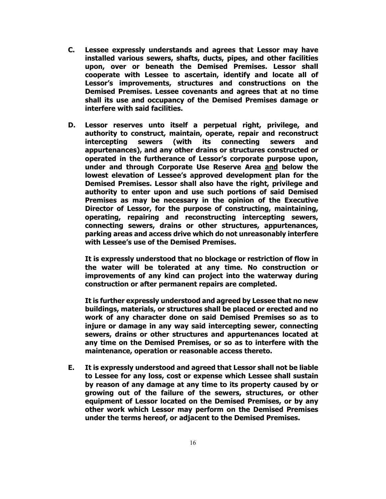- **C. Lessee expressly understands and agrees that Lessor may have installed various sewers, shafts, ducts, pipes, and other facilities upon, over or beneath the Demised Premises. Lessor shall cooperate with Lessee to ascertain, identify and locate all of Lessor's improvements, structures and constructions on the Demised Premises. Lessee covenants and agrees that at no time shall its use and occupancy of the Demised Premises damage or interfere with said facilities.**
- **D. Lessor reserves unto itself a perpetual right, privilege, and authority to construct, maintain, operate, repair and reconstruct intercepting sewers (with its connecting sewers and appurtenances), and any other drains or structures constructed or operated in the furtherance of Lessor's corporate purpose upon, under and through Corporate Use Reserve Area and below the lowest elevation of Lessee's approved development plan for the Demised Premises. Lessor shall also have the right, privilege and authority to enter upon and use such portions of said Demised Premises as may be necessary in the opinion of the Executive Director of Lessor, for the purpose of constructing, maintaining, operating, repairing and reconstructing intercepting sewers, connecting sewers, drains or other structures, appurtenances, parking areas and access drive which do not unreasonably interfere with Lessee's use of the Demised Premises.**

**It is expressly understood that no blockage or restriction of flow in the water will be tolerated at any time. No construction or improvements of any kind can project into the waterway during construction or after permanent repairs are completed.**

**It is further expressly understood and agreed by Lessee that no new buildings, materials, or structures shall be placed or erected and no work of any character done on said Demised Premises so as to injure or damage in any way said intercepting sewer, connecting sewers, drains or other structures and appurtenances located at any time on the Demised Premises, or so as to interfere with the maintenance, operation or reasonable access thereto.**

**E. It is expressly understood and agreed that Lessor shall not be liable to Lessee for any loss, cost or expense which Lessee shall sustain by reason of any damage at any time to its property caused by or growing out of the failure of the sewers, structures, or other equipment of Lessor located on the Demised Premises, or by any other work which Lessor may perform on the Demised Premises under the terms hereof, or adjacent to the Demised Premises.**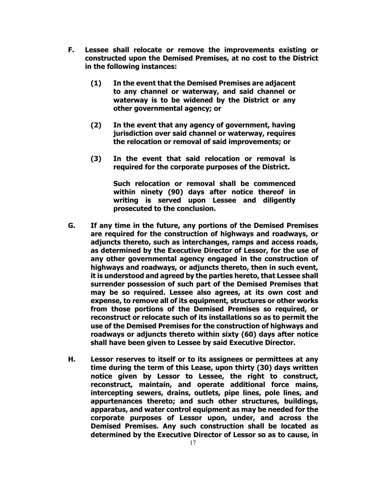- **F. Lessee shall relocate or remove the improvements existing or constructed upon the Demised Premises, at no cost to the District in the following instances:** 
	- **(1) In the event that the Demised Premises are adjacent to any channel or waterway, and said channel or waterway is to be widened by the District or any other governmental agency; or**
	- **(2) In the event that any agency of government, having jurisdiction over said channel or waterway, requires the relocation or removal of said improvements; or**
	- **(3) In the event that said relocation or removal is required for the corporate purposes of the District.**

**Such relocation or removal shall be commenced within ninety (90) days after notice thereof in writing is served upon Lessee and diligently prosecuted to the conclusion.**

- **G. If any time in the future, any portions of the Demised Premises are required for the construction of highways and roadways, or adjuncts thereto, such as interchanges, ramps and access roads, as determined by the Executive Director of Lessor, for the use of any other governmental agency engaged in the construction of highways and roadways, or adjuncts thereto, then in such event, it is understood and agreed by the parties hereto, that Lessee shall surrender possession of such part of the Demised Premises that may be so required. Lessee also agrees, at its own cost and expense, to remove all of its equipment, structures or other works from those portions of the Demised Premises so required, or reconstruct or relocate such of its installations so as to permit the use of the Demised Premises for the construction of highways and roadways or adjuncts thereto within sixty (60) days after notice shall have been given to Lessee by said Executive Director.**
- **H. Lessor reserves to itself or to its assignees or permittees at any time during the term of this Lease, upon thirty (30) days written notice given by Lessor to Lessee, the right to construct, reconstruct, maintain, and operate additional force mains, intercepting sewers, drains, outlets, pipe lines, pole lines, and appurtenances thereto; and such other structures, buildings, apparatus, and water control equipment as may be needed for the corporate purposes of Lessor upon, under, and across the Demised Premises. Any such construction shall be located as determined by the Executive Director of Lessor so as to cause, in**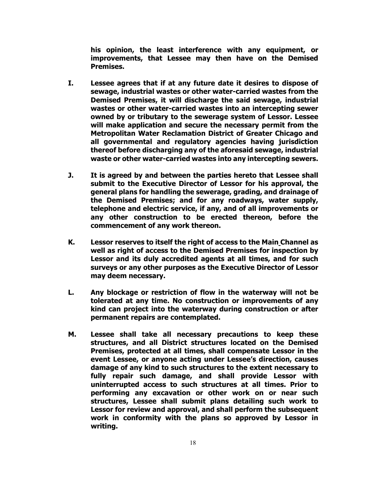**his opinion, the least interference with any equipment, or improvements, that Lessee may then have on the Demised Premises.**

- **I. Lessee agrees that if at any future date it desires to dispose of sewage, industrial wastes or other water-carried wastes from the Demised Premises, it will discharge the said sewage, industrial wastes or other water-carried wastes into an intercepting sewer owned by or tributary to the sewerage system of Lessor. Lessee will make application and secure the necessary permit from the Metropolitan Water Reclamation District of Greater Chicago and all governmental and regulatory agencies having jurisdiction thereof before discharging any of the aforesaid sewage, industrial waste or other water-carried wastes into any intercepting sewers.**
- **J. It is agreed by and between the parties hereto that Lessee shall submit to the Executive Director of Lessor for his approval, the general plans for handling the sewerage, grading, and drainage of the Demised Premises; and for any roadways, water supply, telephone and electric service, if any, and of all improvements or any other construction to be erected thereon, before the commencement of any work thereon.**
- **K. Lessor reserves to itself the right of access to the Main Channel as well as right of access to the Demised Premises for inspection by Lessor and its duly accredited agents at all times, and for such surveys or any other purposes as the Executive Director of Lessor may deem necessary.**
- **L. Any blockage or restriction of flow in the waterway will not be tolerated at any time. No construction or improvements of any kind can project into the waterway during construction or after permanent repairs are contemplated.**
- **M. Lessee shall take all necessary precautions to keep these structures, and all District structures located on the Demised Premises, protected at all times, shall compensate Lessor in the event Lessee, or anyone acting under Lessee's direction, causes damage of any kind to such structures to the extent necessary to fully repair such damage, and shall provide Lessor with uninterrupted access to such structures at all times. Prior to performing any excavation or other work on or near such structures, Lessee shall submit plans detailing such work to Lessor for review and approval, and shall perform the subsequent work in conformity with the plans so approved by Lessor in writing.**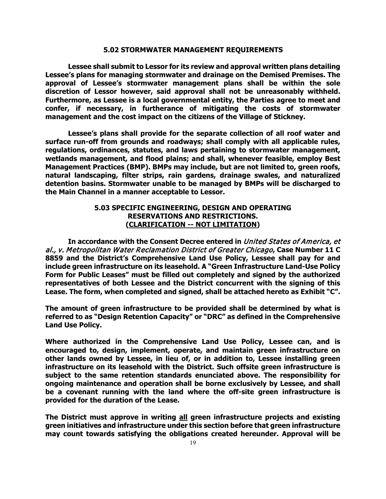#### **5.02 STORMWATER MANAGEMENT REQUIREMENTS**

**Lessee shall submit to Lessor for its review and approval written plans detailing Lessee's plans for managing stormwater and drainage on the Demised Premises. The approval of Lessee's stormwater management plans shall be within the sole discretion of Lessor however, said approval shall not be unreasonably withheld. Furthermore, as Lessee is a local governmental entity, the Parties agree to meet and confer, if necessary, in furtherance of mitigating the costs of stormwater management and the cost impact on the citizens of the Village of Stickney.**

**Lessee's plans shall provide for the separate collection of all roof water and surface run-off from grounds and roadways; shall comply with all applicable rules, regulations, ordinances, statutes, and laws pertaining to stormwater management, wetlands management, and flood plains; and shall, whenever feasible, employ Best Management Practices (BMP). BMPs may include, but are not limited to, green roofs, natural landscaping, filter strips, rain gardens, drainage swales, and naturalized detention basins. Stormwater unable to be managed by BMPs will be discharged to the Main Channel in a manner acceptable to Lessor.**

# **5.03 SPECIFIC ENGINEERING, DESIGN AND OPERATING RESERVATIONS AND RESTRICTIONS. (CLARIFICATION -- NOT LIMITATION)**

**In accordance with the Consent Decree entered in** United States of America, et al., v. Metropolitan Water Reclamation District of Greater Chicago**, Case Number 11 C 8859 and the District's Comprehensive Land Use Policy, Lessee shall pay for and include green infrastructure on its leasehold. A "Green Infrastructure Land-Use Policy Form for Public Leases" must be filled out completely and signed by the authorized representatives of both Lessee and the District concurrent with the signing of this Lease. The form, when completed and signed, shall be attached hereto as Exhibit "C".**

**The amount of green infrastructure to be provided shall be determined by what is referred to as "Design Retention Capacity" or "DRC" as defined in the Comprehensive Land Use Policy.** 

**Where authorized in the Comprehensive Land Use Policy, Lessee can, and is encouraged to, design, implement, operate, and maintain green infrastructure on other lands owned by Lessee, in lieu of, or in addition to, Lessee installing green infrastructure on its leasehold with the District. Such offsite green infrastructure is subject to the same retention standards enunciated above. The responsibility for ongoing maintenance and operation shall be borne exclusively by Lessee, and shall be a covenant running with the land where the off-site green infrastructure is provided for the duration of the Lease.**

**The District must approve in writing all green infrastructure projects and existing green initiatives and infrastructure under this section before that green infrastructure may count towards satisfying the obligations created hereunder. Approval will be**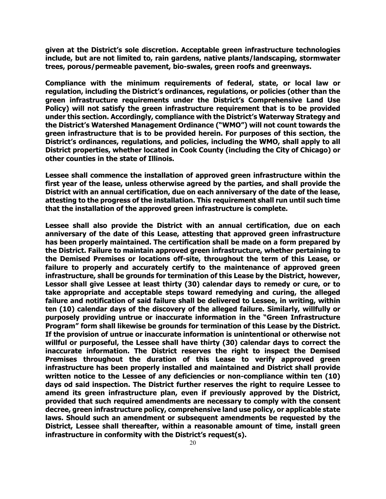**given at the District's sole discretion. Acceptable green infrastructure technologies include, but are not limited to, rain gardens, native plants/landscaping, stormwater trees, porous/permeable pavement, bio-swales, green roofs and greenways.**

**Compliance with the minimum requirements of federal, state, or local law or regulation, including the District's ordinances, regulations, or policies (other than the green infrastructure requirements under the District's Comprehensive Land Use Policy) will not satisfy the green infrastructure requirement that is to be provided under this section. Accordingly, compliance with the District's Waterway Strategy and the District's Watershed Management Ordinance ("WMO") will not count towards the green infrastructure that is to be provided herein. For purposes of this section, the District's ordinances, regulations, and policies, including the WMO, shall apply to all District properties, whether located in Cook County (including the City of Chicago) or other counties in the state of Illinois.**

**Lessee shall commence the installation of approved green infrastructure within the first year of the lease, unless otherwise agreed by the parties, and shall provide the District with an annual certification, due on each anniversary of the date of the lease, attesting to the progress of the installation. This requirement shall run until such time that the installation of the approved green infrastructure is complete.** 

**Lessee shall also provide the District with an annual certification, due on each anniversary of the date of this Lease, attesting that approved green infrastructure has been properly maintained. The certification shall be made on a form prepared by the District. Failure to maintain approved green infrastructure, whether pertaining to the Demised Premises or locations off-site, throughout the term of this Lease, or failure to properly and accurately certify to the maintenance of approved green infrastructure, shall be grounds for termination of this Lease by the District, however, Lessor shall give Lessee at least thirty (30) calendar days to remedy or cure, or to take appropriate and acceptable steps toward remedying and curing, the alleged failure and notification of said failure shall be delivered to Lessee, in writing, within ten (10) calendar days of the discovery of the alleged failure. Similarly, willfully or purposely providing untrue or inaccurate information in the "Green Infrastructure Program" form shall likewise be grounds for termination of this Lease by the District. If the provision of untrue or inaccurate information is unintentional or otherwise not willful or purposeful, the Lessee shall have thirty (30) calendar days to correct the inaccurate information. The District reserves the right to inspect the Demised Premises throughout the duration of this Lease to verify approved green infrastructure has been properly installed and maintained and District shall provide written notice to the Lessee of any deficiencies or non-compliance within ten (10) days od said inspection. The District further reserves the right to require Lessee to amend its green infrastructure plan, even if previously approved by the District, provided that such required amendments are necessary to comply with the consent decree, green infrastructure policy, comprehensive land use policy, or applicable state laws. Should such an amendment or subsequent amendments be requested by the District, Lessee shall thereafter, within a reasonable amount of time, install green infrastructure in conformity with the District's request(s).**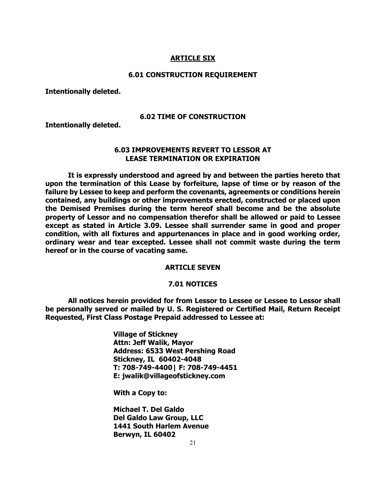## **ARTICLE SIX**

#### **6.01 CONSTRUCTION REQUIREMENT**

**Intentionally deleted.**

#### **6.02 TIME OF CONSTRUCTION**

**Intentionally deleted.**

# **6.03 IMPROVEMENTS REVERT TO LESSOR AT LEASE TERMINATION OR EXPIRATION**

**It is expressly understood and agreed by and between the parties hereto that upon the termination of this Lease by forfeiture, lapse of time or by reason of the failure by Lessee to keep and perform the covenants, agreements or conditions herein contained, any buildings or other improvements erected, constructed or placed upon the Demised Premises during the term hereof shall become and be the absolute property of Lessor and no compensation therefor shall be allowed or paid to Lessee except as stated in Article 3.09. Lessee shall surrender same in good and proper condition, with all fixtures and appurtenances in place and in good working order, ordinary wear and tear excepted. Lessee shall not commit waste during the term hereof or in the course of vacating same.**

# **ARTICLE SEVEN**

## **7.01 NOTICES**

**All notices herein provided for from Lessor to Lessee or Lessee to Lessor shall be personally served or mailed by U. S. Registered or Certified Mail, Return Receipt Requested, First Class Postage Prepaid addressed to Lessee at:**

> **Village of Stickney Attn: Jeff Walik, Mayor Address: 6533 West Pershing Road Stickney, IL 60402-4048 T: 708-749-4400| F: 708-749-4451 E: jwalik@villageofstickney.com**

**With a Copy to:**

**Michael T. Del Galdo Del Galdo Law Group, LLC 1441 South Harlem Avenue Berwyn, IL 60402**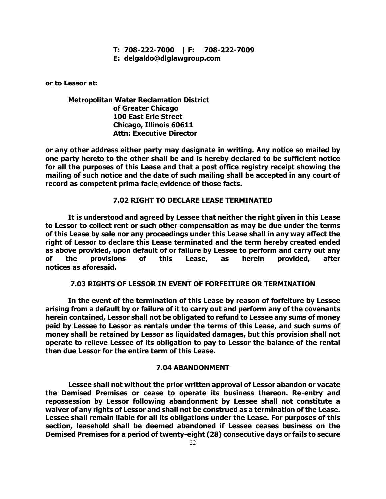# **T: 708-222-7000 | F: 708-222-7009**

**E: delgaldo@dlglawgroup.com**

**or to Lessor at:**

# **Metropolitan Water Reclamation District of Greater Chicago 100 East Erie Street Chicago, Illinois 60611 Attn: Executive Director**

**or any other address either party may designate in writing. Any notice so mailed by one party hereto to the other shall be and is hereby declared to be sufficient notice for all the purposes of this Lease and that a post office registry receipt showing the mailing of such notice and the date of such mailing shall be accepted in any court of record as competent prima facie evidence of those facts.** 

## **7.02 RIGHT TO DECLARE LEASE TERMINATED**

**It is understood and agreed by Lessee that neither the right given in this Lease to Lessor to collect rent or such other compensation as may be due under the terms of this Lease by sale nor any proceedings under this Lease shall in any way affect the right of Lessor to declare this Lease terminated and the term hereby created ended as above provided, upon default of or failure by Lessee to perform and carry out any of the provisions of this Lease, as herein provided, after notices as aforesaid.** 

# **7.03 RIGHTS OF LESSOR IN EVENT OF FORFEITURE OR TERMINATION**

**In the event of the termination of this Lease by reason of forfeiture by Lessee arising from a default by or failure of it to carry out and perform any of the covenants herein contained, Lessor shall not be obligated to refund to Lessee any sums of money paid by Lessee to Lessor as rentals under the terms of this Lease, and such sums of money shall be retained by Lessor as liquidated damages, but this provision shall not operate to relieve Lessee of its obligation to pay to Lessor the balance of the rental then due Lessor for the entire term of this Lease.**

# **7.04 ABANDONMENT**

**Lessee shall not without the prior written approval of Lessor abandon or vacate the Demised Premises or cease to operate its business thereon. Re-entry and repossession by Lessor following abandonment by Lessee shall not constitute a waiver of any rights of Lessor and shall not be construed as a termination of the Lease. Lessee shall remain liable for all its obligations under the Lease. For purposes of this section, leasehold shall be deemed abandoned if Lessee ceases business on the Demised Premises for a period of twenty-eight (28) consecutive days or fails to secure**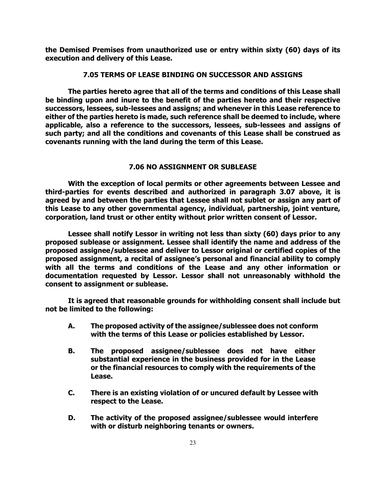**the Demised Premises from unauthorized use or entry within sixty (60) days of its execution and delivery of this Lease.**

## **7.05 TERMS OF LEASE BINDING ON SUCCESSOR AND ASSIGNS**

**The parties hereto agree that all of the terms and conditions of this Lease shall be binding upon and inure to the benefit of the parties hereto and their respective successors, lessees, sub-lessees and assigns; and whenever in this Lease reference to either of the parties hereto is made, such reference shall be deemed to include, where applicable, also a reference to the successors, lessees, sub-lessees and assigns of such party; and all the conditions and covenants of this Lease shall be construed as covenants running with the land during the term of this Lease.**

# **7.06 NO ASSIGNMENT OR SUBLEASE**

**With the exception of local permits or other agreements between Lessee and third-parties for events described and authorized in paragraph 3.07 above, it is agreed by and between the parties that Lessee shall not sublet or assign any part of this Lease to any other governmental agency, individual, partnership, joint venture, corporation, land trust or other entity without prior written consent of Lessor.**

**Lessee shall notify Lessor in writing not less than sixty (60) days prior to any proposed sublease or assignment. Lessee shall identify the name and address of the proposed assignee/sublessee and deliver to Lessor original or certified copies of the proposed assignment, a recital of assignee's personal and financial ability to comply with all the terms and conditions of the Lease and any other information or documentation requested by Lessor. Lessor shall not unreasonably withhold the consent to assignment or sublease.**

**It is agreed that reasonable grounds for withholding consent shall include but not be limited to the following:**

- **A. The proposed activity of the assignee/sublessee does not conform with the terms of this Lease or policies established by Lessor.**
- **B. The proposed assignee/sublessee does not have either substantial experience in the business provided for in the Lease or the financial resources to comply with the requirements of the Lease.**
- **C. There is an existing violation of or uncured default by Lessee with respect to the Lease.**
- **D. The activity of the proposed assignee/sublessee would interfere with or disturb neighboring tenants or owners.**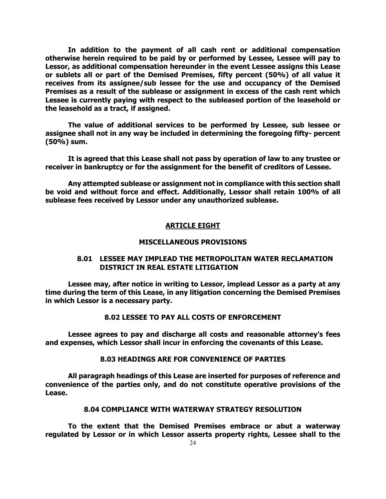**In addition to the payment of all cash rent or additional compensation otherwise herein required to be paid by or performed by Lessee, Lessee will pay to Lessor, as additional compensation hereunder in the event Lessee assigns this Lease or sublets all or part of the Demised Premises, fifty percent (50%) of all value it receives from its assignee/sub lessee for the use and occupancy of the Demised Premises as a result of the sublease or assignment in excess of the cash rent which Lessee is currently paying with respect to the subleased portion of the leasehold or the leasehold as a tract, if assigned.**

**The value of additional services to be performed by Lessee, sub lessee or assignee shall not in any way be included in determining the foregoing fifty- percent (50%) sum.**

**It is agreed that this Lease shall not pass by operation of law to any trustee or receiver in bankruptcy or for the assignment for the benefit of creditors of Lessee.**

**Any attempted sublease or assignment not in compliance with this section shall be void and without force and effect. Additionally, Lessor shall retain 100% of all sublease fees received by Lessor under any unauthorized sublease.**

# **ARTICLE EIGHT**

# **MISCELLANEOUS PROVISIONS**

# **8.01 LESSEE MAY IMPLEAD THE METROPOLITAN WATER RECLAMATION DISTRICT IN REAL ESTATE LITIGATION**

**Lessee may, after notice in writing to Lessor, implead Lessor as a party at any time during the term of this Lease, in any litigation concerning the Demised Premises in which Lessor is a necessary party.**

# **8.02 LESSEE TO PAY ALL COSTS OF ENFORCEMENT**

**Lessee agrees to pay and discharge all costs and reasonable attorney's fees and expenses, which Lessor shall incur in enforcing the covenants of this Lease.**

## **8.03 HEADINGS ARE FOR CONVENIENCE OF PARTIES**

**All paragraph headings of this Lease are inserted for purposes of reference and convenience of the parties only, and do not constitute operative provisions of the Lease.**

# **8.04 COMPLIANCE WITH WATERWAY STRATEGY RESOLUTION**

**To the extent that the Demised Premises embrace or abut a waterway regulated by Lessor or in which Lessor asserts property rights, Lessee shall to the**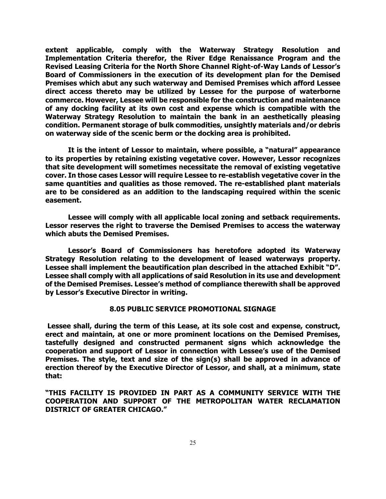**extent applicable, comply with the Waterway Strategy Resolution and Implementation Criteria therefor, the River Edge Renaissance Program and the Revised Leasing Criteria for the North Shore Channel Right-of-Way Lands of Lessor's Board of Commissioners in the execution of its development plan for the Demised Premises which abut any such waterway and Demised Premises which afford Lessee direct access thereto may be utilized by Lessee for the purpose of waterborne commerce. However, Lessee will be responsible for the construction and maintenance of any docking facility at its own cost and expense which is compatible with the Waterway Strategy Resolution to maintain the bank in an aesthetically pleasing condition. Permanent storage of bulk commodities, unsightly materials and/or debris on waterway side of the scenic berm or the docking area is prohibited.**

**It is the intent of Lessor to maintain, where possible, a "natural" appearance to its properties by retaining existing vegetative cover. However, Lessor recognizes that site development will sometimes necessitate the removal of existing vegetative cover. In those cases Lessor will require Lessee to re-establish vegetative cover in the same quantities and qualities as those removed. The re-established plant materials are to be considered as an addition to the landscaping required within the scenic easement.**

**Lessee will comply with all applicable local zoning and setback requirements. Lessor reserves the right to traverse the Demised Premises to access the waterway which abuts the Demised Premises.**

**Lessor's Board of Commissioners has heretofore adopted its Waterway Strategy Resolution relating to the development of leased waterways property. Lessee shall implement the beautification plan described in the attached Exhibit "D". Lessee shall comply with all applications of said Resolution in its use and development of the Demised Premises. Lessee's method of compliance therewith shall be approved by Lessor's Executive Director in writing.**

## **8.05 PUBLIC SERVICE PROMOTIONAL SIGNAGE**

 **Lessee shall, during the term of this Lease, at its sole cost and expense, construct, erect and maintain, at one or more prominent locations on the Demised Premises, tastefully designed and constructed permanent signs which acknowledge the cooperation and support of Lessor in connection with Lessee's use of the Demised Premises. The style, text and size of the sign(s) shall be approved in advance of erection thereof by the Executive Director of Lessor, and shall, at a minimum, state that:**

**"THIS FACILITY IS PROVIDED IN PART AS A COMMUNITY SERVICE WITH THE COOPERATION AND SUPPORT OF THE METROPOLITAN WATER RECLAMATION DISTRICT OF GREATER CHICAGO."**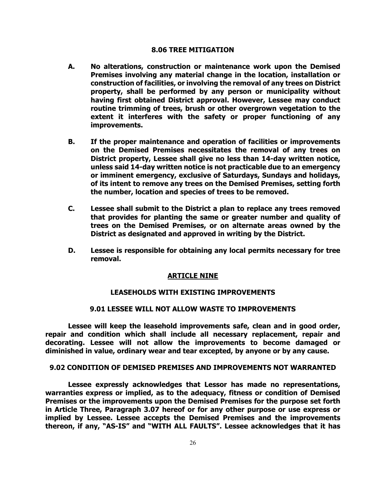### **8.06 TREE MITIGATION**

- **A. No alterations, construction or maintenance work upon the Demised Premises involving any material change in the location, installation or construction of facilities, or involving the removal of any trees on District property, shall be performed by any person or municipality without having first obtained District approval. However, Lessee may conduct routine trimming of trees, brush or other overgrown vegetation to the extent it interferes with the safety or proper functioning of any improvements.**
- **B. If the proper maintenance and operation of facilities or improvements on the Demised Premises necessitates the removal of any trees on District property, Lessee shall give no less than 14-day written notice, unless said 14-day written notice is not practicable due to an emergency or imminent emergency, exclusive of Saturdays, Sundays and holidays, of its intent to remove any trees on the Demised Premises, setting forth the number, location and species of trees to be removed.**
- **C. Lessee shall submit to the District a plan to replace any trees removed that provides for planting the same or greater number and quality of trees on the Demised Premises, or on alternate areas owned by the District as designated and approved in writing by the District.**
- **D. Lessee is responsible for obtaining any local permits necessary for tree removal.**

### **ARTICLE NINE**

# **LEASEHOLDS WITH EXISTING IMPROVEMENTS**

# **9.01 LESSEE WILL NOT ALLOW WASTE TO IMPROVEMENTS**

**Lessee will keep the leasehold improvements safe, clean and in good order, repair and condition which shall include all necessary replacement, repair and decorating. Lessee will not allow the improvements to become damaged or diminished in value, ordinary wear and tear excepted, by anyone or by any cause.**

# **9.02 CONDITION OF DEMISED PREMISES AND IMPROVEMENTS NOT WARRANTED**

**Lessee expressly acknowledges that Lessor has made no representations, warranties express or implied, as to the adequacy, fitness or condition of Demised Premises or the improvements upon the Demised Premises for the purpose set forth in Article Three, Paragraph 3.07 hereof or for any other purpose or use express or implied by Lessee. Lessee accepts the Demised Premises and the improvements thereon, if any, "AS-IS" and "WITH ALL FAULTS". Lessee acknowledges that it has**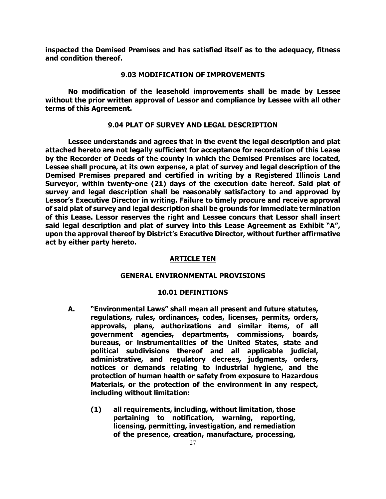**inspected the Demised Premises and has satisfied itself as to the adequacy, fitness and condition thereof.**

### **9.03 MODIFICATION OF IMPROVEMENTS**

**No modification of the leasehold improvements shall be made by Lessee without the prior written approval of Lessor and compliance by Lessee with all other terms of this Agreement.**

## **9.04 PLAT OF SURVEY AND LEGAL DESCRIPTION**

**Lessee understands and agrees that in the event the legal description and plat attached hereto are not legally sufficient for acceptance for recordation of this Lease by the Recorder of Deeds of the county in which the Demised Premises are located, Lessee shall procure, at its own expense, a plat of survey and legal description of the Demised Premises prepared and certified in writing by a Registered Illinois Land Surveyor, within twenty-one (21) days of the execution date hereof. Said plat of survey and legal description shall be reasonably satisfactory to and approved by Lessor's Executive Director in writing. Failure to timely procure and receive approval of said plat of survey and legal description shall be grounds for immediate termination of this Lease. Lessor reserves the right and Lessee concurs that Lessor shall insert said legal description and plat of survey into this Lease Agreement as Exhibit "A", upon the approval thereof by District's Executive Director, without further affirmative act by either party hereto.**

### **ARTICLE TEN**

### **GENERAL ENVIRONMENTAL PROVISIONS**

### **10.01 DEFINITIONS**

- **A. "Environmental Laws" shall mean all present and future statutes, regulations, rules, ordinances, codes, licenses, permits, orders, approvals, plans, authorizations and similar items, of all government agencies, departments, commissions, boards, bureaus, or instrumentalities of the United States, state and political subdivisions thereof and all applicable judicial, administrative, and regulatory decrees, judgments, orders, notices or demands relating to industrial hygiene, and the protection of human health or safety from exposure to Hazardous Materials, or the protection of the environment in any respect, including without limitation:**
	- **(1) all requirements, including, without limitation, those pertaining to notification, warning, reporting, licensing, permitting, investigation, and remediation of the presence, creation, manufacture, processing,**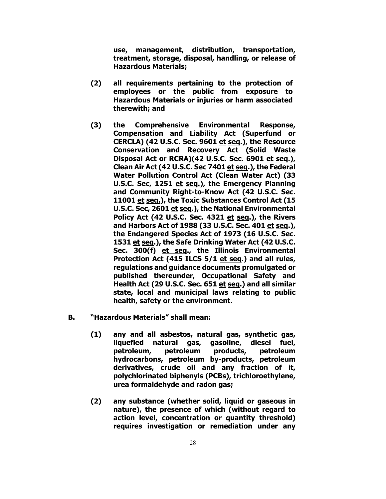**use, management, distribution, transportation, treatment, storage, disposal, handling, or release of Hazardous Materials;**

- **(2) all requirements pertaining to the protection of employees or the public from exposure to Hazardous Materials or injuries or harm associated therewith; and**
- **(3) the Comprehensive Environmental Response, Compensation and Liability Act (Superfund or CERCLA) (42 U.S.C. Sec. 9601 et seq.), the Resource Conservation and Recovery Act (Solid Waste Disposal Act or RCRA)(42 U.S.C. Sec. 6901 et seq.), Clean Air Act (42 U.S.C. Sec 7401 et seq.), the Federal Water Pollution Control Act (Clean Water Act) (33 U.S.C. Sec, 1251 et seq.), the Emergency Planning and Community Right-to-Know Act (42 U.S.C. Sec. 11001 et seq.), the Toxic Substances Control Act (15 U.S.C. Sec, 2601 et seq.), the National Environmental Policy Act (42 U.S.C. Sec. 4321 et seq.), the Rivers and Harbors Act of 1988 (33 U.S.C. Sec. 401 et seq.), the Endangered Species Act of 1973 (16 U.S.C. Sec. 1531 et seq.), the Safe Drinking Water Act (42 U.S.C. Sec. 300(f) et seq., the Illinois Environmental Protection Act (415 ILCS 5/1 et seq.) and all rules, regulations and guidance documents promulgated or published thereunder, Occupational Safety and Health Act (29 U.S.C. Sec. 651 et seq.) and all similar state, local and municipal laws relating to public health, safety or the environment.**
- **B. "Hazardous Materials" shall mean:**
	- **(1) any and all asbestos, natural gas, synthetic gas, liquefied natural gas, gasoline, diesel fuel, petroleum, petroleum products, petroleum hydrocarbons, petroleum by-products, petroleum derivatives, crude oil and any fraction of it, polychlorinated biphenyls (PCBs), trichloroethylene, urea formaldehyde and radon gas;**
	- **(2) any substance (whether solid, liquid or gaseous in nature), the presence of which (without regard to action level, concentration or quantity threshold) requires investigation or remediation under any**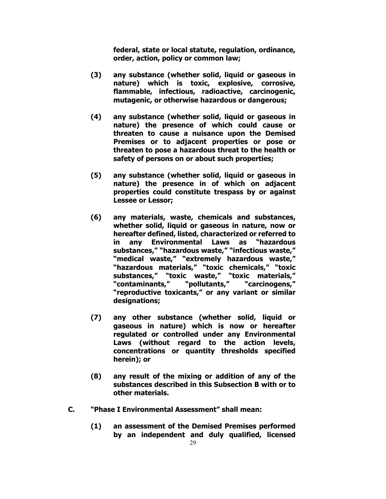**federal, state or local statute, regulation, ordinance, order, action, policy or common law;**

- **(3) any substance (whether solid, liquid or gaseous in nature) which is toxic, explosive, corrosive, flammable, infectious, radioactive, carcinogenic, mutagenic, or otherwise hazardous or dangerous;**
- **(4) any substance (whether solid, liquid or gaseous in nature) the presence of which could cause or threaten to cause a nuisance upon the Demised Premises or to adjacent properties or pose or threaten to pose a hazardous threat to the health or safety of persons on or about such properties;**
- **(5) any substance (whether solid, liquid or gaseous in nature) the presence in of which on adjacent properties could constitute trespass by or against Lessee or Lessor;**
- **(6) any materials, waste, chemicals and substances, whether solid, liquid or gaseous in nature, now or hereafter defined, listed, characterized or referred to in any Environmental Laws as substances," "hazardous waste," "infectious waste," "medical waste," "extremely hazardous waste," "hazardous materials," "toxic chemicals," "toxic substances," "toxic waste," "toxic materials," "contaminants," "pollutants," "carcinogens," "reproductive toxicants," or any variant or similar designations;**
- **(7) any other substance (whether solid, liquid or gaseous in nature) which is now or hereafter regulated or controlled under any Environmental Laws (without regard to the action levels, concentrations or quantity thresholds specified herein); or**
- **(8) any result of the mixing or addition of any of the substances described in this Subsection B with or to other materials.**
- **C. "Phase I Environmental Assessment" shall mean:**
	- **(1) an assessment of the Demised Premises performed by an independent and duly qualified, licensed**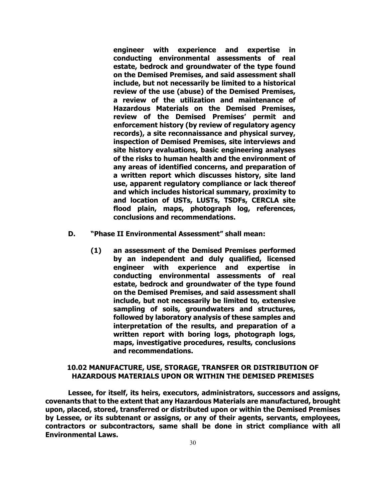**engineer with experience and expertise in conducting environmental assessments of real estate, bedrock and groundwater of the type found on the Demised Premises, and said assessment shall include, but not necessarily be limited to a historical review of the use (abuse) of the Demised Premises, a review of the utilization and maintenance of Hazardous Materials on the Demised Premises, review of the Demised Premises' permit and enforcement history (by review of regulatory agency records), a site reconnaissance and physical survey, inspection of Demised Premises, site interviews and site history evaluations, basic engineering analyses of the risks to human health and the environment of any areas of identified concerns, and preparation of a written report which discusses history, site land use, apparent regulatory compliance or lack thereof and which includes historical summary, proximity to and location of USTs, LUSTs, TSDFs, CERCLA site flood plain, maps, photograph log, references, conclusions and recommendations.**

- **D. "Phase II Environmental Assessment" shall mean:**
	- **(1) an assessment of the Demised Premises performed by an independent and duly qualified, licensed engineer with experience and expertise in conducting environmental assessments of real estate, bedrock and groundwater of the type found on the Demised Premises, and said assessment shall include, but not necessarily be limited to, extensive sampling of soils, groundwaters and structures, followed by laboratory analysis of these samples and interpretation of the results, and preparation of a written report with boring logs, photograph logs, maps, investigative procedures, results, conclusions and recommendations.**

# **10.02 MANUFACTURE, USE, STORAGE, TRANSFER OR DISTRIBUTION OF HAZARDOUS MATERIALS UPON OR WITHIN THE DEMISED PREMISES**

**Lessee, for itself, its heirs, executors, administrators, successors and assigns, covenants that to the extent that any Hazardous Materials are manufactured, brought upon, placed, stored, transferred or distributed upon or within the Demised Premises by Lessee, or its subtenant or assigns, or any of their agents, servants, employees, contractors or subcontractors, same shall be done in strict compliance with all Environmental Laws.**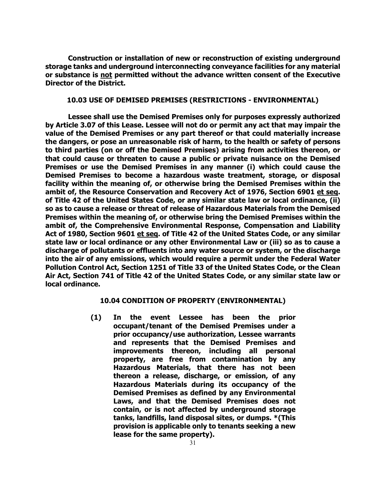**Construction or installation of new or reconstruction of existing underground storage tanks and underground interconnecting conveyance facilities for any material or substance is not permitted without the advance written consent of the Executive Director of the District.**

## **10.03 USE OF DEMISED PREMISES (RESTRICTIONS - ENVIRONMENTAL)**

**Lessee shall use the Demised Premises only for purposes expressly authorized by Article 3.07 of this Lease. Lessee will not do or permit any act that may impair the value of the Demised Premises or any part thereof or that could materially increase the dangers, or pose an unreasonable risk of harm, to the health or safety of persons to third parties (on or off the Demised Premises) arising from activities thereon, or that could cause or threaten to cause a public or private nuisance on the Demised Premises or use the Demised Premises in any manner (i) which could cause the Demised Premises to become a hazardous waste treatment, storage, or disposal facility within the meaning of, or otherwise bring the Demised Premises within the ambit of, the Resource Conservation and Recovery Act of 1976, Section 6901 et seq. of Title 42 of the United States Code, or any similar state law or local ordinance, (ii) so as to cause a release or threat of release of Hazardous Materials from the Demised Premises within the meaning of, or otherwise bring the Demised Premises within the ambit of, the Comprehensive Environmental Response, Compensation and Liability Act of 1980, Section 9601 et seq. of Title 42 of the United States Code, or any similar state law or local ordinance or any other Environmental Law or (iii) so as to cause a discharge of pollutants or effluents into any water source or system, or the discharge into the air of any emissions, which would require a permit under the Federal Water Pollution Control Act, Section 1251 of Title 33 of the United States Code, or the Clean Air Act, Section 741 of Title 42 of the United States Code, or any similar state law or local ordinance.**

## **10.04 CONDITION OF PROPERTY (ENVIRONMENTAL)**

**(1) In the event Lessee has been the prior occupant/tenant of the Demised Premises under a prior occupancy/use authorization, Lessee warrants and represents that the Demised Premises and improvements thereon, including all personal property, are free from contamination by any Hazardous Materials, that there has not been thereon a release, discharge, or emission, of any Hazardous Materials during its occupancy of the Demised Premises as defined by any Environmental Laws, and that the Demised Premises does not contain, or is not affected by underground storage tanks, landfills, land disposal sites, or dumps. \*(This provision is applicable only to tenants seeking a new lease for the same property).**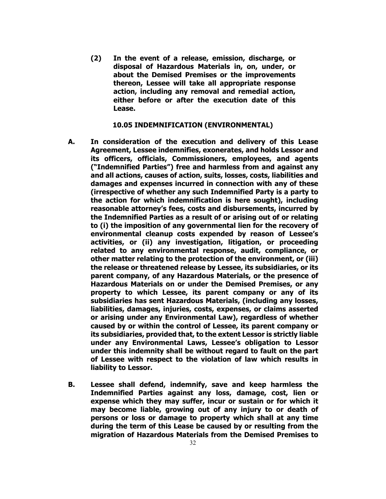**(2) In the event of a release, emission, discharge, or disposal of Hazardous Materials in, on, under, or about the Demised Premises or the improvements thereon, Lessee will take all appropriate response action, including any removal and remedial action, either before or after the execution date of this Lease.**

## **10.05 INDEMNIFICATION (ENVIRONMENTAL)**

- **A. In consideration of the execution and delivery of this Lease Agreement, Lessee indemnifies, exonerates, and holds Lessor and its officers, officials, Commissioners, employees, and agents ("Indemnified Parties") free and harmless from and against any and all actions, causes of action, suits, losses, costs, liabilities and damages and expenses incurred in connection with any of these (irrespective of whether any such Indemnified Party is a party to the action for which indemnification is here sought), including reasonable attorney's fees, costs and disbursements, incurred by the Indemnified Parties as a result of or arising out of or relating to (i) the imposition of any governmental lien for the recovery of environmental cleanup costs expended by reason of Lessee's activities, or (ii) any investigation, litigation, or proceeding related to any environmental response, audit, compliance, or other matter relating to the protection of the environment, or (iii) the release or threatened release by Lessee, its subsidiaries, or its parent company, of any Hazardous Materials, or the presence of Hazardous Materials on or under the Demised Premises, or any property to which Lessee, its parent company or any of its subsidiaries has sent Hazardous Materials, (including any losses, liabilities, damages, injuries, costs, expenses, or claims asserted or arising under any Environmental Law), regardless of whether caused by or within the control of Lessee, its parent company or its subsidiaries, provided that, to the extent Lessor is strictly liable under any Environmental Laws, Lessee's obligation to Lessor under this indemnity shall be without regard to fault on the part of Lessee with respect to the violation of law which results in liability to Lessor.**
- **B. Lessee shall defend, indemnify, save and keep harmless the Indemnified Parties against any loss, damage, cost, lien or expense which they may suffer, incur or sustain or for which it may become liable, growing out of any injury to or death of persons or loss or damage to property which shall at any time during the term of this Lease be caused by or resulting from the migration of Hazardous Materials from the Demised Premises to**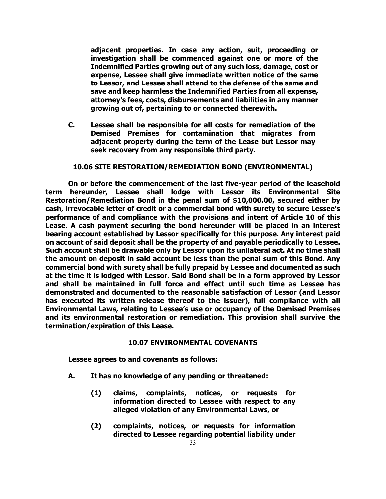**adjacent properties. In case any action, suit, proceeding or investigation shall be commenced against one or more of the Indemnified Parties growing out of any such loss, damage, cost or expense, Lessee shall give immediate written notice of the same to Lessor, and Lessee shall attend to the defense of the same and save and keep harmless the Indemnified Parties from all expense, attorney's fees, costs, disbursements and liabilities in any manner growing out of, pertaining to or connected therewith.**

**C. Lessee shall be responsible for all costs for remediation of the Demised Premises for contamination that migrates from adjacent property during the term of the Lease but Lessor may seek recovery from any responsible third party.**

# **10.06 SITE RESTORATION/REMEDIATION BOND (ENVIRONMENTAL)**

**On or before the commencement of the last five-year period of the leasehold term hereunder, Lessee shall lodge with Lessor its Environmental Site Restoration/Remediation Bond in the penal sum of \$10,000.00, secured either by cash, irrevocable letter of credit or a commercial bond with surety to secure Lessee's performance of and compliance with the provisions and intent of Article 10 of this Lease. A cash payment securing the bond hereunder will be placed in an interest bearing account established by Lessor specifically for this purpose. Any interest paid on account of said deposit shall be the property of and payable periodically to Lessee. Such account shall be drawable only by Lessor upon its unilateral act. At no time shall the amount on deposit in said account be less than the penal sum of this Bond. Any commercial bond with surety shall be fully prepaid by Lessee and documented as such at the time it is lodged with Lessor. Said Bond shall be in a form approved by Lessor and shall be maintained in full force and effect until such time as Lessee has demonstrated and documented to the reasonable satisfaction of Lessor (and Lessor has executed its written release thereof to the issuer), full compliance with all Environmental Laws, relating to Lessee's use or occupancy of the Demised Premises and its environmental restoration or remediation. This provision shall survive the termination/expiration of this Lease.**

## **10.07 ENVIRONMENTAL COVENANTS**

**Lessee agrees to and covenants as follows:**

- **A. It has no knowledge of any pending or threatened:**
	- **(1) claims, complaints, notices, or requests for information directed to Lessee with respect to any alleged violation of any Environmental Laws, or**
	- **(2) complaints, notices, or requests for information directed to Lessee regarding potential liability under**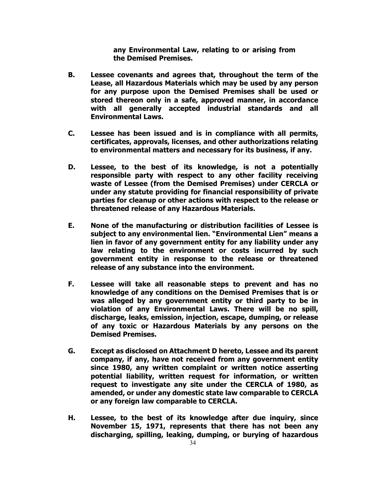**any Environmental Law, relating to or arising from the Demised Premises.**

- **B. Lessee covenants and agrees that, throughout the term of the Lease, all Hazardous Materials which may be used by any person for any purpose upon the Demised Premises shall be used or stored thereon only in a safe, approved manner, in accordance with all generally accepted industrial standards and all Environmental Laws.**
- **C. Lessee has been issued and is in compliance with all permits, certificates, approvals, licenses, and other authorizations relating to environmental matters and necessary for its business, if any.**
- **D. Lessee, to the best of its knowledge, is not a potentially responsible party with respect to any other facility receiving waste of Lessee (from the Demised Premises) under CERCLA or under any statute providing for financial responsibility of private parties for cleanup or other actions with respect to the release or threatened release of any Hazardous Materials.**
- **E. None of the manufacturing or distribution facilities of Lessee is subject to any environmental lien. "Environmental Lien" means a lien in favor of any government entity for any liability under any law relating to the environment or costs incurred by such government entity in response to the release or threatened release of any substance into the environment.**
- **F. Lessee will take all reasonable steps to prevent and has no knowledge of any conditions on the Demised Premises that is or was alleged by any government entity or third party to be in violation of any Environmental Laws. There will be no spill, discharge, leaks, emission, injection, escape, dumping, or release of any toxic or Hazardous Materials by any persons on the Demised Premises.**
- **G. Except as disclosed on Attachment D hereto, Lessee and its parent company, if any, have not received from any government entity since 1980, any written complaint or written notice asserting potential liability, written request for information, or written request to investigate any site under the CERCLA of 1980, as amended, or under any domestic state law comparable to CERCLA or any foreign law comparable to CERCLA.**
- **H. Lessee, to the best of its knowledge after due inquiry, since November 15, 1971, represents that there has not been any discharging, spilling, leaking, dumping, or burying of hazardous**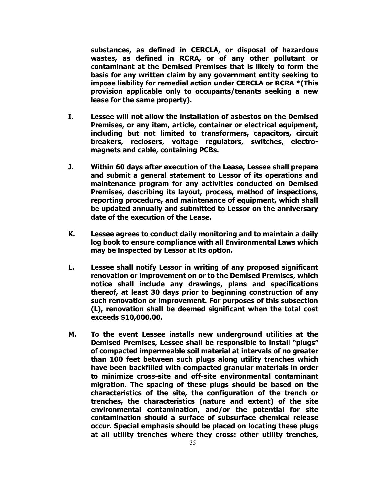**substances, as defined in CERCLA, or disposal of hazardous wastes, as defined in RCRA, or of any other pollutant or contaminant at the Demised Premises that is likely to form the basis for any written claim by any government entity seeking to impose liability for remedial action under CERCLA or RCRA \*(This provision applicable only to occupants/tenants seeking a new lease for the same property).**

- **I. Lessee will not allow the installation of asbestos on the Demised Premises, or any item, article, container or electrical equipment, including but not limited to transformers, capacitors, circuit breakers, reclosers, voltage regulators, switches, electromagnets and cable, containing PCBs.**
- **J. Within 60 days after execution of the Lease, Lessee shall prepare and submit a general statement to Lessor of its operations and maintenance program for any activities conducted on Demised Premises, describing its layout, process, method of inspections, reporting procedure, and maintenance of equipment, which shall be updated annually and submitted to Lessor on the anniversary date of the execution of the Lease.**
- **K. Lessee agrees to conduct daily monitoring and to maintain a daily log book to ensure compliance with all Environmental Laws which may be inspected by Lessor at its option.**
- **L. Lessee shall notify Lessor in writing of any proposed significant renovation or improvement on or to the Demised Premises, which notice shall include any drawings, plans and specifications thereof, at least 30 days prior to beginning construction of any such renovation or improvement. For purposes of this subsection (L), renovation shall be deemed significant when the total cost exceeds \$10,000.00.**
- **M. To the event Lessee installs new underground utilities at the Demised Premises, Lessee shall be responsible to install "plugs" of compacted impermeable soil material at intervals of no greater than 100 feet between such plugs along utility trenches which have been backfilled with compacted granular materials in order to minimize cross-site and off-site environmental contaminant migration. The spacing of these plugs should be based on the characteristics of the site, the configuration of the trench or trenches, the characteristics (nature and extent) of the site environmental contamination, and/or the potential for site contamination should a surface of subsurface chemical release occur. Special emphasis should be placed on locating these plugs at all utility trenches where they cross: other utility trenches,**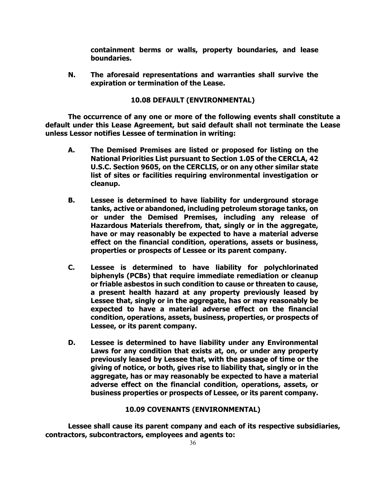**containment berms or walls, property boundaries, and lease boundaries.**

**N. The aforesaid representations and warranties shall survive the expiration or termination of the Lease.**

# **10.08 DEFAULT (ENVIRONMENTAL)**

**The occurrence of any one or more of the following events shall constitute a default under this Lease Agreement, but said default shall not terminate the Lease unless Lessor notifies Lessee of termination in writing:**

- **A. The Demised Premises are listed or proposed for listing on the National Priorities List pursuant to Section 1.05 of the CERCLA, 42 U.S.C. Section 9605, on the CERCLIS, or on any other similar state list of sites or facilities requiring environmental investigation or cleanup.**
- **B. Lessee is determined to have liability for underground storage tanks, active or abandoned, including petroleum storage tanks, on or under the Demised Premises, including any release of Hazardous Materials therefrom, that, singly or in the aggregate, have or may reasonably be expected to have a material adverse effect on the financial condition, operations, assets or business, properties or prospects of Lessee or its parent company.**
- **C. Lessee is determined to have liability for polychlorinated biphenyls (PCBs) that require immediate remediation or cleanup or friable asbestos in such condition to cause or threaten to cause, a present health hazard at any property previously leased by Lessee that, singly or in the aggregate, has or may reasonably be expected to have a material adverse effect on the financial condition, operations, assets, business, properties, or prospects of Lessee, or its parent company.**
- **D. Lessee is determined to have liability under any Environmental Laws for any condition that exists at, on, or under any property previously leased by Lessee that, with the passage of time or the giving of notice, or both, gives rise to liability that, singly or in the aggregate, has or may reasonably be expected to have a material adverse effect on the financial condition, operations, assets, or business properties or prospects of Lessee, or its parent company.**

# **10.09 COVENANTS (ENVIRONMENTAL)**

**Lessee shall cause its parent company and each of its respective subsidiaries, contractors, subcontractors, employees and agents to:**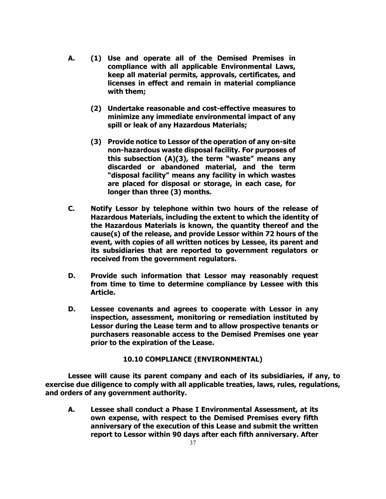- **A. (1) Use and operate all of the Demised Premises in compliance with all applicable Environmental Laws, keep all material permits, approvals, certificates, and licenses in effect and remain in material compliance with them;**
	- **(2) Undertake reasonable and cost-effective measures to minimize any immediate environmental impact of any spill or leak of any Hazardous Materials;**
	- **(3) Provide notice to Lessor of the operation of any on-site non-hazardous waste disposal facility. For purposes of this subsection (A)(3), the term "waste" means any discarded or abandoned material, and the term "disposal facility" means any facility in which wastes are placed for disposal or storage, in each case, for longer than three (3) months.**
- **C. Notify Lessor by telephone within two hours of the release of Hazardous Materials, including the extent to which the identity of the Hazardous Materials is known, the quantity thereof and the cause(s) of the release, and provide Lessor within 72 hours of the event, with copies of all written notices by Lessee, its parent and its subsidiaries that are reported to government regulators or received from the government regulators.**
- **D. Provide such information that Lessor may reasonably request from time to time to determine compliance by Lessee with this Article.**
- **D. Lessee covenants and agrees to cooperate with Lessor in any inspection, assessment, monitoring or remediation instituted by Lessor during the Lease term and to allow prospective tenants or purchasers reasonable access to the Demised Premises one year prior to the expiration of the Lease.**

# **10.10 COMPLIANCE (ENVIRONMENTAL)**

**Lessee will cause its parent company and each of its subsidiaries, if any, to exercise due diligence to comply with all applicable treaties, laws, rules, regulations, and orders of any government authority.**

**A. Lessee shall conduct a Phase I Environmental Assessment, at its own expense, with respect to the Demised Premises every fifth anniversary of the execution of this Lease and submit the written report to Lessor within 90 days after each fifth anniversary. After**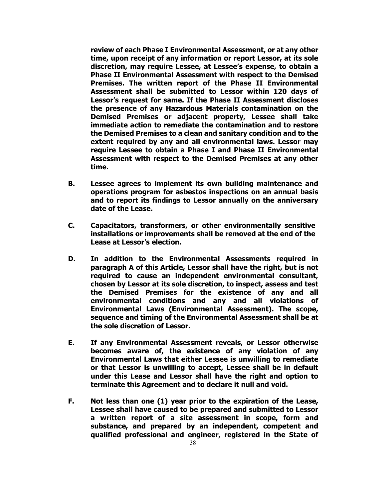**review of each Phase I Environmental Assessment, or at any other time, upon receipt of any information or report Lessor, at its sole discretion, may require Lessee, at Lessee's expense, to obtain a Phase II Environmental Assessment with respect to the Demised Premises. The written report of the Phase II Environmental Assessment shall be submitted to Lessor within 120 days of Lessor's request for same. If the Phase II Assessment discloses the presence of any Hazardous Materials contamination on the Demised Premises or adjacent property, Lessee shall take immediate action to remediate the contamination and to restore the Demised Premises to a clean and sanitary condition and to the extent required by any and all environmental laws. Lessor may require Lessee to obtain a Phase I and Phase II Environmental Assessment with respect to the Demised Premises at any other time.**

- **B. Lessee agrees to implement its own building maintenance and operations program for asbestos inspections on an annual basis and to report its findings to Lessor annually on the anniversary date of the Lease.**
- **C. Capacitators, transformers, or other environmentally sensitive installations or improvements shall be removed at the end of the Lease at Lessor's election.**
- **D. In addition to the Environmental Assessments required in paragraph A of this Article, Lessor shall have the right, but is not required to cause an independent environmental consultant, chosen by Lessor at its sole discretion, to inspect, assess and test the Demised Premises for the existence of any and all environmental conditions and any and all violations of Environmental Laws (Environmental Assessment). The scope, sequence and timing of the Environmental Assessment shall be at the sole discretion of Lessor.**
- **E. If any Environmental Assessment reveals, or Lessor otherwise becomes aware of, the existence of any violation of any Environmental Laws that either Lessee is unwilling to remediate or that Lessor is unwilling to accept, Lessee shall be in default under this Lease and Lessor shall have the right and option to terminate this Agreement and to declare it null and void.**
- **F. Not less than one (1) year prior to the expiration of the Lease, Lessee shall have caused to be prepared and submitted to Lessor a written report of a site assessment in scope, form and substance, and prepared by an independent, competent and qualified professional and engineer, registered in the State of**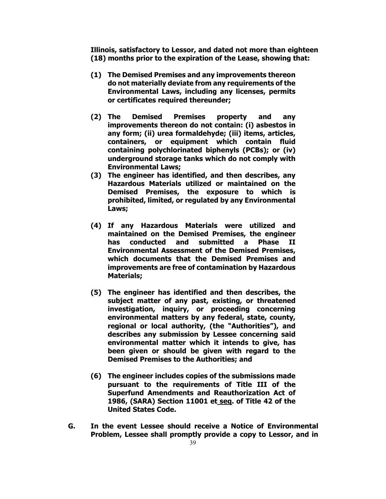**Illinois, satisfactory to Lessor, and dated not more than eighteen (18) months prior to the expiration of the Lease, showing that:**

- **(1) The Demised Premises and any improvements thereon do not materially deviate from any requirements of the Environmental Laws, including any licenses, permits or certificates required thereunder;**
- **(2) The Demised Premises property and any improvements thereon do not contain: (i) asbestos in any form; (ii) urea formaldehyde; (iii) items, articles, containers, or equipment which contain fluid containing polychlorinated biphenyls (PCBs); or (iv) underground storage tanks which do not comply with Environmental Laws;**
- **(3) The engineer has identified, and then describes, any Hazardous Materials utilized or maintained on the Demised Premises, the exposure to which is prohibited, limited, or regulated by any Environmental Laws;**
- **(4) If any Hazardous Materials were utilized and maintained on the Demised Premises, the engineer has conducted and submitted a Phase II Environmental Assessment of the Demised Premises, which documents that the Demised Premises and improvements are free of contamination by Hazardous Materials;**
- **(5) The engineer has identified and then describes, the subject matter of any past, existing, or threatened investigation, inquiry, or proceeding concerning environmental matters by any federal, state, county, regional or local authority, (the "Authorities"), and describes any submission by Lessee concerning said environmental matter which it intends to give, has been given or should be given with regard to the Demised Premises to the Authorities; and**
- **(6) The engineer includes copies of the submissions made pursuant to the requirements of Title III of the Superfund Amendments and Reauthorization Act of 1986, (SARA) Section 11001 et seq. of Title 42 of the United States Code.**
- **G. In the event Lessee should receive a Notice of Environmental Problem, Lessee shall promptly provide a copy to Lessor, and in**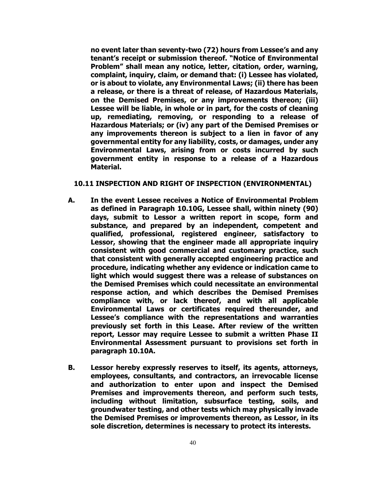**no event later than seventy-two (72) hours from Lessee's and any tenant's receipt or submission thereof. "Notice of Environmental Problem" shall mean any notice, letter, citation, order, warning, complaint, inquiry, claim, or demand that: (i) Lessee has violated, or is about to violate, any Environmental Laws; (ii) there has been a release, or there is a threat of release, of Hazardous Materials, on the Demised Premises, or any improvements thereon; (iii) Lessee will be liable, in whole or in part, for the costs of cleaning up, remediating, removing, or responding to a release of Hazardous Materials; or (iv) any part of the Demised Premises or any improvements thereon is subject to a lien in favor of any governmental entity for any liability, costs, or damages, under any Environmental Laws, arising from or costs incurred by such government entity in response to a release of a Hazardous Material.** 

# **10.11 INSPECTION AND RIGHT OF INSPECTION (ENVIRONMENTAL)**

- **A. In the event Lessee receives a Notice of Environmental Problem as defined in Paragraph 10.10G, Lessee shall, within ninety (90) days, submit to Lessor a written report in scope, form and substance, and prepared by an independent, competent and qualified, professional, registered engineer, satisfactory to Lessor, showing that the engineer made all appropriate inquiry consistent with good commercial and customary practice, such that consistent with generally accepted engineering practice and procedure, indicating whether any evidence or indication came to light which would suggest there was a release of substances on the Demised Premises which could necessitate an environmental response action, and which describes the Demised Premises compliance with, or lack thereof, and with all applicable Environmental Laws or certificates required thereunder, and Lessee's compliance with the representations and warranties previously set forth in this Lease. After review of the written report, Lessor may require Lessee to submit a written Phase II Environmental Assessment pursuant to provisions set forth in paragraph 10.10A.**
- **B. Lessor hereby expressly reserves to itself, its agents, attorneys, employees, consultants, and contractors, an irrevocable license and authorization to enter upon and inspect the Demised Premises and improvements thereon, and perform such tests, including without limitation, subsurface testing, soils, and groundwater testing, and other tests which may physically invade the Demised Premises or improvements thereon, as Lessor, in its sole discretion, determines is necessary to protect its interests.**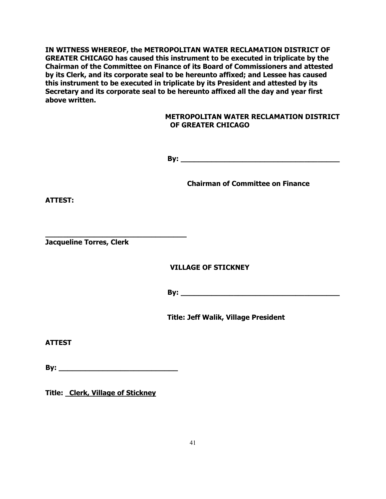**IN WITNESS WHEREOF, the METROPOLITAN WATER RECLAMATION DISTRICT OF GREATER CHICAGO has caused this instrument to be executed in triplicate by the Chairman of the Committee on Finance of its Board of Commissioners and attested by its Clerk, and its corporate seal to be hereunto affixed; and Lessee has caused this instrument to be executed in triplicate by its President and attested by its Secretary and its corporate seal to be hereunto affixed all the day and year first above written.**

# **METROPOLITAN WATER RECLAMATION DISTRICT OF GREATER CHICAGO**

**By: \_\_\_\_\_\_\_\_\_\_\_\_\_\_\_\_\_\_\_\_\_\_\_\_\_\_\_\_\_\_\_\_\_\_\_\_**

**Chairman of Committee on Finance**

**ATTEST:**

**\_\_\_\_\_\_\_\_\_\_\_\_\_\_\_\_\_\_\_\_\_\_\_\_\_\_\_\_\_\_\_\_ Jacqueline Torres, Clerk**

# **VILLAGE OF STICKNEY**

**By: \_\_\_\_\_\_\_\_\_\_\_\_\_\_\_\_\_\_\_\_\_\_\_\_\_\_\_\_\_\_\_\_\_\_\_\_**

**Title: Jeff Walik, Village President**

**ATTEST**

**By:**  $\blacksquare$ 

**Title: Clerk, Village of Stickney**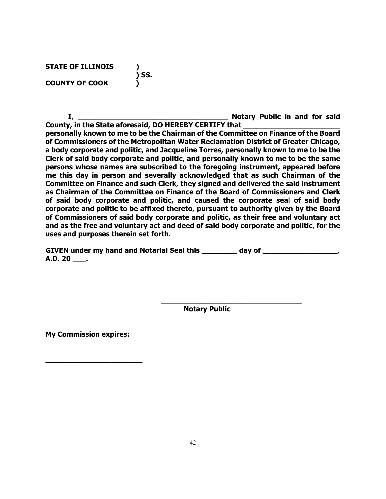**STATE OF ILLINOIS ) ) SS. COUNTY OF COOK )**

**I, \_\_\_\_\_\_\_\_\_\_\_\_\_\_\_\_\_\_\_\_\_\_\_\_\_\_\_\_\_\_\_\_\_\_ Notary Public in and for said** 

**County, in the State aforesaid, DO HEREBY CERTIFY that \_\_\_\_\_\_\_\_\_\_\_\_\_\_\_\_\_\_\_\_\_\_ personally known to me to be the Chairman of the Committee on Finance of the Board of Commissioners of the Metropolitan Water Reclamation District of Greater Chicago, a body corporate and politic, and Jacqueline Torres, personally known to me to be the Clerk of said body corporate and politic, and personally known to me to be the same persons whose names are subscribed to the foregoing instrument, appeared before me this day in person and severally acknowledged that as such Chairman of the Committee on Finance and such Clerk, they signed and delivered the said instrument as Chairman of the Committee on Finance of the Board of Commissioners and Clerk of said body corporate and politic, and caused the corporate seal of said body corporate and politic to be affixed thereto, pursuant to authority given by the Board of Commissioners of said body corporate and politic, as their free and voluntary act and as the free and voluntary act and deed of said body corporate and politic, for the uses and purposes therein set forth.**

| <b>GIVEN under my hand and Notarial Seal this</b> | day of |
|---------------------------------------------------|--------|
| A.D. 20                                           |        |

**Notary Public**

**\_\_\_\_\_\_\_\_\_\_\_\_\_\_\_\_\_\_\_\_\_\_\_\_\_\_\_\_\_\_\_\_**

**My Commission expires:**

**\_\_\_\_\_\_\_\_\_\_\_\_\_\_\_\_\_\_\_\_\_\_**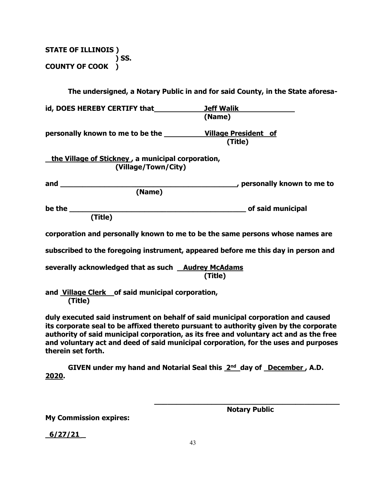**STATE OF ILLINOIS ) ) SS. COUNTY OF COOK )**

|                                                                          | The undersigned, a Notary Public in and for said County, in the State aforesa-                                                                                                                                                                                      |
|--------------------------------------------------------------------------|---------------------------------------------------------------------------------------------------------------------------------------------------------------------------------------------------------------------------------------------------------------------|
| id, DOES HEREBY CERTIFY that The Malik Theory of The Malik               |                                                                                                                                                                                                                                                                     |
|                                                                          | (Name)                                                                                                                                                                                                                                                              |
| personally known to me to be the _____________Village President of       |                                                                                                                                                                                                                                                                     |
|                                                                          | (Title)                                                                                                                                                                                                                                                             |
| the Village of Stickney, a municipal corporation,<br>(Village/Town/City) |                                                                                                                                                                                                                                                                     |
|                                                                          | gersonally known to me to me to me to me to me to me to me to me to me to me to me to me to me to me                                                                                                                                                                |
| (Name)                                                                   |                                                                                                                                                                                                                                                                     |
|                                                                          |                                                                                                                                                                                                                                                                     |
|                                                                          |                                                                                                                                                                                                                                                                     |
|                                                                          | corporation and personally known to me to be the same persons whose names are                                                                                                                                                                                       |
|                                                                          | subscribed to the foregoing instrument, appeared before me this day in person and                                                                                                                                                                                   |
| severally acknowledged that as such <b>Audrey McAdams</b>                | (Title)                                                                                                                                                                                                                                                             |
| and Village Clerk of said municipal corporation,<br>(Title)              |                                                                                                                                                                                                                                                                     |
|                                                                          | duly executed said instrument on behalf of said municipal corporation and caused<br>its corporate seal to be affixed thereto pursuant to authority given by the corporate<br>authority of said municinal cornoration, as its free and voluntary act and as the free |

**authority of said municipal corporation, as its free and voluntary act and as the free and voluntary act and deed of said municipal corporation, for the uses and purposes therein set forth.**

GIVEN under my hand and Notarial Seal this 2<sup>nd</sup> day of December, A.D. **2020.**

**My Commission expires:**

**\_\_\_\_\_\_\_\_\_\_\_\_\_\_\_\_\_\_\_\_\_\_\_\_\_\_\_\_\_\_\_\_\_\_\_\_\_\_\_\_\_\_ Notary Public**

 **6/27/21 \_**